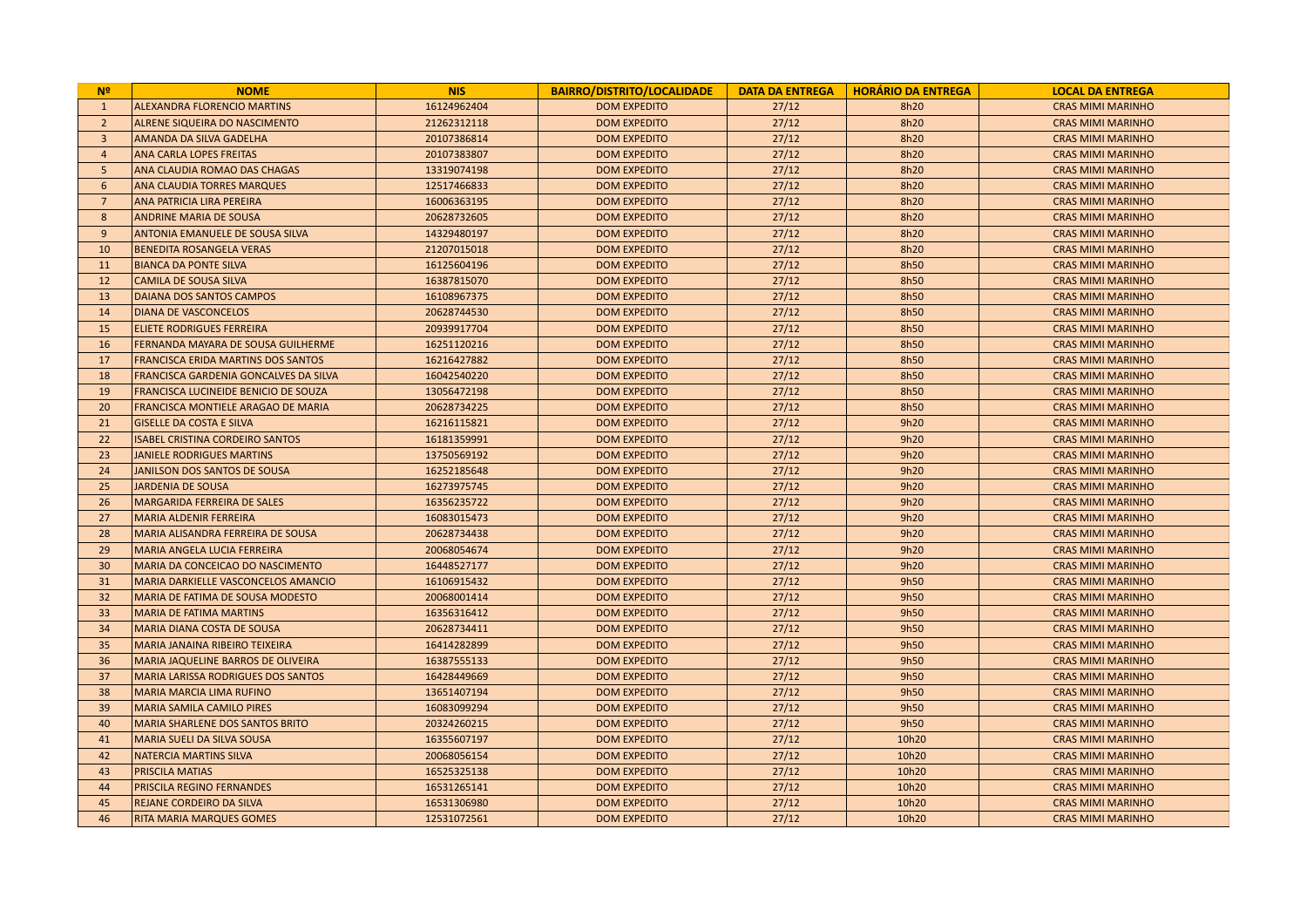| N <sup>2</sup> | <b>NOME</b>                               | <b>NIS</b>  | <b>BAIRRO/DISTRITO/LOCALIDADE</b> | <b>DATA DA ENTREGA</b> | <b>HORÁRIO DA ENTREGA</b> | <b>LOCAL DA ENTREGA</b>  |
|----------------|-------------------------------------------|-------------|-----------------------------------|------------------------|---------------------------|--------------------------|
| $\mathbf{1}$   | <b>ALEXANDRA FLORENCIO MARTINS</b>        | 16124962404 | <b>DOM EXPEDITO</b>               | 27/12                  | 8h20                      | <b>CRAS MIMI MARINHO</b> |
| $\overline{2}$ | ALRENE SIQUEIRA DO NASCIMENTO             | 21262312118 | <b>DOM EXPEDITO</b>               | 27/12                  | 8h20                      | <b>CRAS MIMI MARINHO</b> |
| $\overline{3}$ | AMANDA DA SILVA GADELHA                   | 20107386814 | <b>DOM EXPEDITO</b>               | 27/12                  | 8h20                      | <b>CRAS MIMI MARINHO</b> |
| $\overline{4}$ | ANA CARLA LOPES FREITAS                   | 20107383807 | <b>DOM EXPEDITO</b>               | 27/12                  | 8h20                      | <b>CRAS MIMI MARINHO</b> |
| -5             | ANA CLAUDIA ROMAO DAS CHAGAS              | 13319074198 | <b>DOM EXPEDITO</b>               | 27/12                  | 8h20                      | <b>CRAS MIMI MARINHO</b> |
| 6              | ANA CLAUDIA TORRES MARQUES                | 12517466833 | <b>DOM EXPEDITO</b>               | 27/12                  | 8h20                      | <b>CRAS MIMI MARINHO</b> |
| $\overline{7}$ | ANA PATRICIA LIRA PEREIRA                 | 16006363195 | <b>DOM EXPEDITO</b>               | 27/12                  | 8h20                      | <b>CRAS MIMI MARINHO</b> |
| 8              | <b>ANDRINE MARIA DE SOUSA</b>             | 20628732605 | <b>DOM EXPEDITO</b>               | 27/12                  | 8h20                      | <b>CRAS MIMI MARINHO</b> |
| 9              | ANTONIA EMANUELE DE SOUSA SILVA           | 14329480197 | <b>DOM EXPEDITO</b>               | 27/12                  | 8h20                      | <b>CRAS MIMI MARINHO</b> |
| 10             | <b>BENEDITA ROSANGELA VERAS</b>           | 21207015018 | <b>DOM EXPEDITO</b>               | 27/12                  | 8h20                      | <b>CRAS MIMI MARINHO</b> |
| 11             | <b>BIANCA DA PONTE SILVA</b>              | 16125604196 | <b>DOM EXPEDITO</b>               | 27/12                  | 8h50                      | <b>CRAS MIMI MARINHO</b> |
| 12             | <b>CAMILA DE SOUSA SILVA</b>              | 16387815070 | <b>DOM EXPEDITO</b>               | 27/12                  | 8h50                      | <b>CRAS MIMI MARINHO</b> |
| 13             | DAIANA DOS SANTOS CAMPOS                  | 16108967375 | <b>DOM EXPEDITO</b>               | 27/12                  | 8h50                      | <b>CRAS MIMI MARINHO</b> |
| 14             | <b>DIANA DE VASCONCELOS</b>               | 20628744530 | <b>DOM EXPEDITO</b>               | 27/12                  | 8h50                      | <b>CRAS MIMI MARINHO</b> |
| 15             | <b>ELIETE RODRIGUES FERREIRA</b>          | 20939917704 | <b>DOM EXPEDITO</b>               | 27/12                  | 8h50                      | <b>CRAS MIMI MARINHO</b> |
| 16             | FERNANDA MAYARA DE SOUSA GUILHERME        | 16251120216 | <b>DOM EXPEDITO</b>               | 27/12                  | 8h50                      | <b>CRAS MIMI MARINHO</b> |
| 17             | FRANCISCA ERIDA MARTINS DOS SANTOS        | 16216427882 | <b>DOM EXPEDITO</b>               | 27/12                  | 8h50                      | <b>CRAS MIMI MARINHO</b> |
| 18             | FRANCISCA GARDENIA GONCALVES DA SILVA     | 16042540220 | <b>DOM EXPEDITO</b>               | 27/12                  | 8h50                      | <b>CRAS MIMI MARINHO</b> |
| 19             | FRANCISCA LUCINEIDE BENICIO DE SOUZA      | 13056472198 | <b>DOM EXPEDITO</b>               | 27/12                  | 8h50                      | <b>CRAS MIMI MARINHO</b> |
| 20             | FRANCISCA MONTIELE ARAGAO DE MARIA        | 20628734225 | <b>DOM EXPEDITO</b>               | 27/12                  | 8h50                      | <b>CRAS MIMI MARINHO</b> |
| 21             | <b>GISELLE DA COSTA E SILVA</b>           | 16216115821 | <b>DOM EXPEDITO</b>               | 27/12                  | 9h20                      | <b>CRAS MIMI MARINHO</b> |
| 22             | <b>ISABEL CRISTINA CORDEIRO SANTOS</b>    | 16181359991 | <b>DOM EXPEDITO</b>               | 27/12                  | 9h20                      | <b>CRAS MIMI MARINHO</b> |
| 23             | <b>JANIELE RODRIGUES MARTINS</b>          | 13750569192 | <b>DOM EXPEDITO</b>               | 27/12                  | 9h20                      | <b>CRAS MIMI MARINHO</b> |
| 24             | JANILSON DOS SANTOS DE SOUSA              | 16252185648 | <b>DOM EXPEDITO</b>               | 27/12                  | 9h20                      | <b>CRAS MIMI MARINHO</b> |
| 25             | <b>JARDENIA DE SOUSA</b>                  | 16273975745 | <b>DOM EXPEDITO</b>               | 27/12                  | 9h20                      | <b>CRAS MIMI MARINHO</b> |
| 26             | MARGARIDA FERREIRA DE SALES               | 16356235722 | <b>DOM EXPEDITO</b>               | 27/12                  | 9h20                      | <b>CRAS MIMI MARINHO</b> |
| 27             | <b>MARIA ALDENIR FERREIRA</b>             | 16083015473 | <b>DOM EXPEDITO</b>               | 27/12                  | 9h20                      | <b>CRAS MIMI MARINHO</b> |
| 28             | MARIA ALISANDRA FERREIRA DE SOUSA         | 20628734438 | <b>DOM EXPEDITO</b>               | 27/12                  | 9h20                      | <b>CRAS MIMI MARINHO</b> |
| 29             | MARIA ANGELA LUCIA FERREIRA               | 20068054674 | <b>DOM EXPEDITO</b>               | 27/12                  | 9h20                      | <b>CRAS MIMI MARINHO</b> |
| 30             | MARIA DA CONCEICAO DO NASCIMENTO          | 16448527177 | <b>DOM EXPEDITO</b>               | 27/12                  | 9h20                      | <b>CRAS MIMI MARINHO</b> |
| 31             | MARIA DARKIELLE VASCONCELOS AMANCIO       | 16106915432 | <b>DOM EXPEDITO</b>               | 27/12                  | 9h50                      | <b>CRAS MIMI MARINHO</b> |
| 32             | MARIA DE FATIMA DE SOUSA MODESTO          | 20068001414 | <b>DOM EXPEDITO</b>               | 27/12                  | 9h50                      | <b>CRAS MIMI MARINHO</b> |
| 33             | <b>MARIA DE FATIMA MARTINS</b>            | 16356316412 | <b>DOM EXPEDITO</b>               | 27/12                  | 9h50                      | <b>CRAS MIMI MARINHO</b> |
| 34             | <b>MARIA DIANA COSTA DE SOUSA</b>         | 20628734411 | <b>DOM EXPEDITO</b>               | 27/12                  | 9h50                      | <b>CRAS MIMI MARINHO</b> |
| 35             | MARIA JANAINA RIBEIRO TEIXEIRA            | 16414282899 | <b>DOM EXPEDITO</b>               | 27/12                  | 9h50                      | <b>CRAS MIMI MARINHO</b> |
| 36             | MARIA JAQUELINE BARROS DE OLIVEIRA        | 16387555133 | <b>DOM EXPEDITO</b>               | 27/12                  | 9h50                      | <b>CRAS MIMI MARINHO</b> |
| 37             | <b>MARIA LARISSA RODRIGUES DOS SANTOS</b> | 16428449669 | <b>DOM EXPEDITO</b>               | 27/12                  | 9h50                      | <b>CRAS MIMI MARINHO</b> |
| 38             | <b>MARIA MARCIA LIMA RUFINO</b>           | 13651407194 | <b>DOM EXPEDITO</b>               | 27/12                  | 9h50                      | <b>CRAS MIMI MARINHO</b> |
| 39             | <b>MARIA SAMILA CAMILO PIRES</b>          | 16083099294 | <b>DOM EXPEDITO</b>               | 27/12                  | 9h50                      | <b>CRAS MIMI MARINHO</b> |
| 40             | <b>MARIA SHARLENE DOS SANTOS BRITO</b>    | 20324260215 | <b>DOM EXPEDITO</b>               | 27/12                  | 9h50                      | <b>CRAS MIMI MARINHO</b> |
| 41             | MARIA SUELI DA SILVA SOUSA                | 16355607197 | <b>DOM EXPEDITO</b>               | 27/12                  | 10h20                     | <b>CRAS MIMI MARINHO</b> |
| 42             | <b>NATERCIA MARTINS SILVA</b>             | 20068056154 | <b>DOM EXPEDITO</b>               | 27/12                  | 10h20                     | <b>CRAS MIMI MARINHO</b> |
| 43             | PRISCILA MATIAS                           | 16525325138 | <b>DOM EXPEDITO</b>               | 27/12                  | 10h20                     | <b>CRAS MIMI MARINHO</b> |
| 44             | PRISCILA REGINO FERNANDES                 | 16531265141 | <b>DOM EXPEDITO</b>               | 27/12                  | 10h20                     | <b>CRAS MIMI MARINHO</b> |
| 45             | REJANE CORDEIRO DA SILVA                  | 16531306980 | <b>DOM EXPEDITO</b>               | 27/12                  | 10h20                     | <b>CRAS MIMI MARINHO</b> |
| 46             | RITA MARIA MARQUES GOMES                  | 12531072561 | <b>DOM EXPEDITO</b>               | 27/12                  | 10h20                     | <b>CRAS MIMI MARINHO</b> |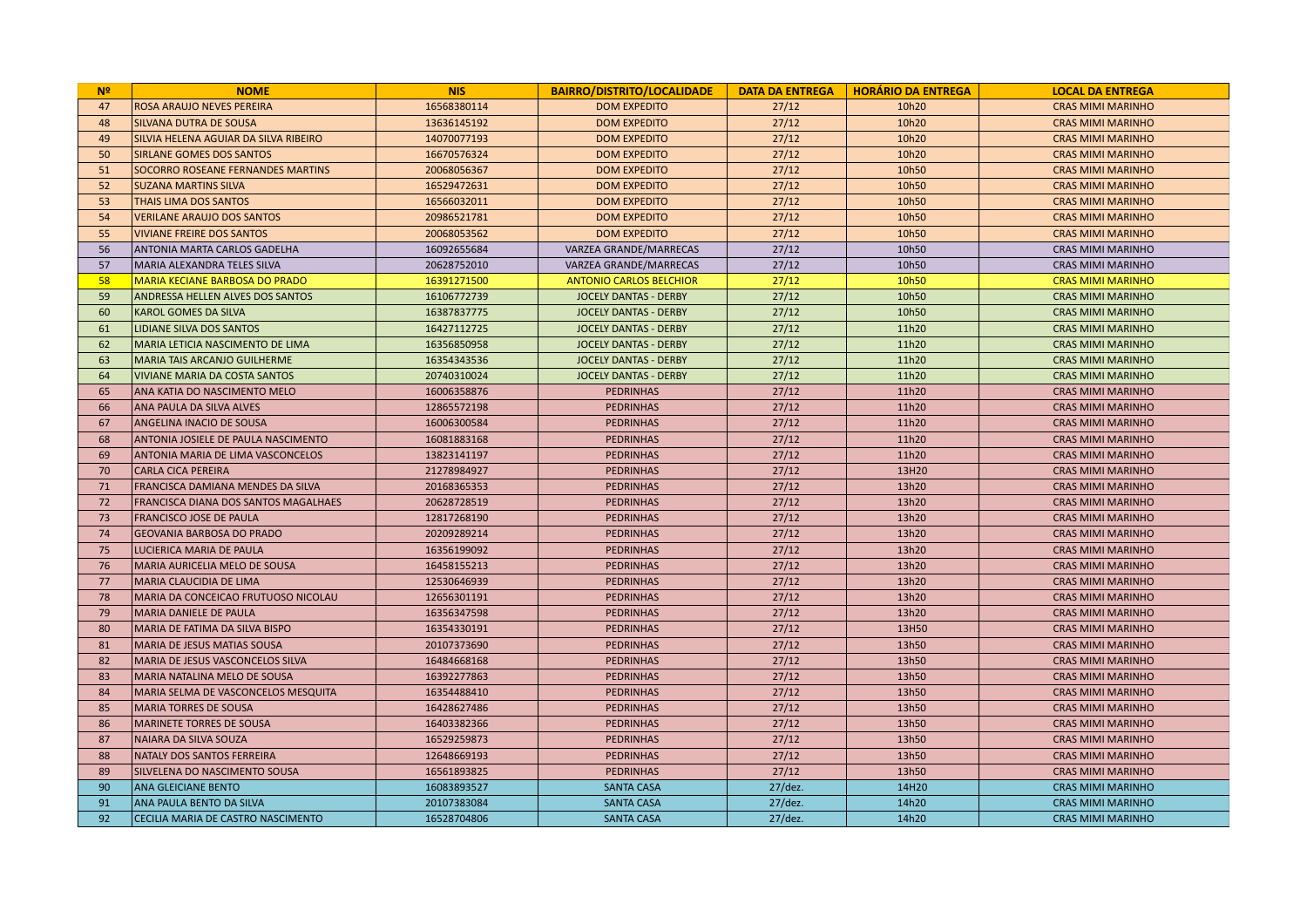| N <sup>2</sup> | <b>NOME</b>                              | <b>NIS</b>  | <b>BAIRRO/DISTRITO/LOCALIDADE</b> | <b>DATA DA ENTREGA</b> | <b>HORÁRIO DA ENTREGA</b> | <b>LOCAL DA ENTREGA</b>  |
|----------------|------------------------------------------|-------------|-----------------------------------|------------------------|---------------------------|--------------------------|
| 47             | ROSA ARAUJO NEVES PEREIRA                | 16568380114 | <b>DOM EXPEDITO</b>               | 27/12                  | 10h20                     | <b>CRAS MIMI MARINHO</b> |
| 48             | <b>SILVANA DUTRA DE SOUSA</b>            | 13636145192 | <b>DOM EXPEDITO</b>               | 27/12                  | 10h20                     | <b>CRAS MIMI MARINHO</b> |
| 49             | SILVIA HELENA AGUIAR DA SILVA RIBEIRO    | 14070077193 | <b>DOM EXPEDITO</b>               | 27/12                  | 10h20                     | <b>CRAS MIMI MARINHO</b> |
| 50             | <b>SIRLANE GOMES DOS SANTOS</b>          | 16670576324 | <b>DOM EXPEDITO</b>               | 27/12                  | 10h20                     | <b>CRAS MIMI MARINHO</b> |
| 51             | <b>SOCORRO ROSEANE FERNANDES MARTINS</b> | 20068056367 | <b>DOM EXPEDITO</b>               | 27/12                  | 10h50                     | <b>CRAS MIMI MARINHO</b> |
| 52             | <b>SUZANA MARTINS SILVA</b>              | 16529472631 | <b>DOM EXPEDITO</b>               | 27/12                  | 10h50                     | <b>CRAS MIMI MARINHO</b> |
| 53             | THAIS LIMA DOS SANTOS                    | 16566032011 | <b>DOM EXPEDITO</b>               | 27/12                  | 10h50                     | <b>CRAS MIMI MARINHO</b> |
| 54             | <b>VERILANE ARAUJO DOS SANTOS</b>        | 20986521781 | <b>DOM EXPEDITO</b>               | 27/12                  | 10h50                     | <b>CRAS MIMI MARINHO</b> |
| 55             | <b>VIVIANE FREIRE DOS SANTOS</b>         | 20068053562 | <b>DOM EXPEDITO</b>               | 27/12                  | 10h50                     | <b>CRAS MIMI MARINHO</b> |
| 56             | ANTONIA MARTA CARLOS GADELHA             | 16092655684 | VARZEA GRANDE/MARRECAS            | 27/12                  | 10h50                     | <b>CRAS MIMI MARINHO</b> |
| 57             | MARIA ALEXANDRA TELES SILVA              | 20628752010 | VARZEA GRANDE/MARRECAS            | 27/12                  | 10h50                     | <b>CRAS MIMI MARINHO</b> |
| 58             | <b>MARIA KECIANE BARBOSA DO PRADO</b>    | 16391271500 | <b>ANTONIO CARLOS BELCHIOR</b>    | 27/12                  | 10h50                     | <b>CRAS MIMI MARINHO</b> |
| 59             | <b>ANDRESSA HELLEN ALVES DOS SANTOS</b>  | 16106772739 | <b>JOCELY DANTAS - DERBY</b>      | 27/12                  | 10h50                     | <b>CRAS MIMI MARINHO</b> |
| 60             | <b>KAROL GOMES DA SILVA</b>              | 16387837775 | <b>JOCELY DANTAS - DERBY</b>      | 27/12                  | 10h50                     | <b>CRAS MIMI MARINHO</b> |
| 61             | LIDIANE SILVA DOS SANTOS                 | 16427112725 | <b>JOCELY DANTAS - DERBY</b>      | 27/12                  | 11h20                     | <b>CRAS MIMI MARINHO</b> |
| 62             | MARIA LETICIA NASCIMENTO DE LIMA         | 16356850958 | JOCELY DANTAS - DERBY             | 27/12                  | 11h20                     | <b>CRAS MIMI MARINHO</b> |
| 63             | <b>MARIA TAIS ARCANJO GUILHERME</b>      | 16354343536 | <b>JOCELY DANTAS - DERBY</b>      | 27/12                  | 11h20                     | <b>CRAS MIMI MARINHO</b> |
| 64             | <b>VIVIANE MARIA DA COSTA SANTOS</b>     | 20740310024 | <b>JOCELY DANTAS - DERBY</b>      | 27/12                  | 11h20                     | <b>CRAS MIMI MARINHO</b> |
| 65             | ANA KATIA DO NASCIMENTO MELO             | 16006358876 | <b>PEDRINHAS</b>                  | 27/12                  | 11h20                     | <b>CRAS MIMI MARINHO</b> |
| 66             | ANA PAULA DA SILVA ALVES                 | 12865572198 | <b>PEDRINHAS</b>                  | 27/12                  | 11h20                     | <b>CRAS MIMI MARINHO</b> |
| 67             | <b>ANGELINA INACIO DE SOUSA</b>          | 16006300584 | <b>PEDRINHAS</b>                  | 27/12                  | 11h20                     | <b>CRAS MIMI MARINHO</b> |
| 68             | ANTONIA JOSIELE DE PAULA NASCIMENTO      | 16081883168 | <b>PEDRINHAS</b>                  | 27/12                  | 11h20                     | <b>CRAS MIMI MARINHO</b> |
| 69             | ANTONIA MARIA DE LIMA VASCONCELOS        | 13823141197 | <b>PEDRINHAS</b>                  | 27/12                  | 11h20                     | <b>CRAS MIMI MARINHO</b> |
| 70             | <b>CARLA CICA PEREIRA</b>                | 21278984927 | <b>PEDRINHAS</b>                  | 27/12                  | 13H20                     | <b>CRAS MIMI MARINHO</b> |
| 71             | FRANCISCA DAMIANA MENDES DA SILVA        | 20168365353 | <b>PEDRINHAS</b>                  | 27/12                  | 13h20                     | <b>CRAS MIMI MARINHO</b> |
| 72             | FRANCISCA DIANA DOS SANTOS MAGALHAES     | 20628728519 | <b>PEDRINHAS</b>                  | 27/12                  | 13h20                     | <b>CRAS MIMI MARINHO</b> |
| 73             | <b>FRANCISCO JOSE DE PAULA</b>           | 12817268190 | <b>PEDRINHAS</b>                  | 27/12                  | 13h20                     | <b>CRAS MIMI MARINHO</b> |
| 74             | <b>GEOVANIA BARBOSA DO PRADO</b>         | 20209289214 | <b>PEDRINHAS</b>                  | 27/12                  | 13h20                     | <b>CRAS MIMI MARINHO</b> |
| 75             | LUCIERICA MARIA DE PAULA                 | 16356199092 | <b>PEDRINHAS</b>                  | 27/12                  | 13h20                     | <b>CRAS MIMI MARINHO</b> |
| 76             | MARIA AURICELIA MELO DE SOUSA            | 16458155213 | <b>PEDRINHAS</b>                  | 27/12                  | 13h20                     | <b>CRAS MIMI MARINHO</b> |
| 77             | <b>MARIA CLAUCIDIA DE LIMA</b>           | 12530646939 | <b>PEDRINHAS</b>                  | 27/12                  | 13h20                     | <b>CRAS MIMI MARINHO</b> |
| 78             | MARIA DA CONCEICAO FRUTUOSO NICOLAU      | 12656301191 | <b>PEDRINHAS</b>                  | 27/12                  | 13h20                     | <b>CRAS MIMI MARINHO</b> |
| 79             | <b>MARIA DANIELE DE PAULA</b>            | 16356347598 | <b>PEDRINHAS</b>                  | 27/12                  | 13h20                     | <b>CRAS MIMI MARINHO</b> |
| 80             | MARIA DE FATIMA DA SILVA BISPO           | 16354330191 | <b>PEDRINHAS</b>                  | 27/12                  | 13H50                     | <b>CRAS MIMI MARINHO</b> |
| 81             | <b>MARIA DE JESUS MATIAS SOUSA</b>       | 20107373690 | <b>PEDRINHAS</b>                  | 27/12                  | 13h50                     | <b>CRAS MIMI MARINHO</b> |
| 82             | MARIA DE JESUS VASCONCELOS SILVA         | 16484668168 | <b>PEDRINHAS</b>                  | 27/12                  | 13h50                     | <b>CRAS MIMI MARINHO</b> |
| 83             | MARIA NATALINA MELO DE SOUSA             | 16392277863 | <b>PEDRINHAS</b>                  | 27/12                  | 13h50                     | <b>CRAS MIMI MARINHO</b> |
| 84             | MARIA SELMA DE VASCONCELOS MESQUITA      | 16354488410 | <b>PEDRINHAS</b>                  | 27/12                  | 13h50                     | <b>CRAS MIMI MARINHO</b> |
| 85             | <b>MARIA TORRES DE SOUSA</b>             | 16428627486 | <b>PEDRINHAS</b>                  | 27/12                  | 13h50                     | <b>CRAS MIMI MARINHO</b> |
| 86             | <b>MARINETE TORRES DE SOUSA</b>          | 16403382366 | <b>PEDRINHAS</b>                  | 27/12                  | 13h50                     | <b>CRAS MIMI MARINHO</b> |
| 87             | NAIARA DA SILVA SOUZA                    | 16529259873 | <b>PEDRINHAS</b>                  | 27/12                  | 13h50                     | <b>CRAS MIMI MARINHO</b> |
| 88             | NATALY DOS SANTOS FERREIRA               | 12648669193 | <b>PEDRINHAS</b>                  | 27/12                  | 13h50                     | <b>CRAS MIMI MARINHO</b> |
| 89             | SILVELENA DO NASCIMENTO SOUSA            | 16561893825 | <b>PEDRINHAS</b>                  | 27/12                  | 13h50                     | <b>CRAS MIMI MARINHO</b> |
| 90             | <b>ANA GLEICIANE BENTO</b>               | 16083893527 | <b>SANTA CASA</b>                 | 27/dez.                | 14H20                     | <b>CRAS MIMI MARINHO</b> |
| 91             | ANA PAULA BENTO DA SILVA                 | 20107383084 | <b>SANTA CASA</b>                 | $27/$ dez.             | 14h20                     | <b>CRAS MIMI MARINHO</b> |
| 92             | CECILIA MARIA DE CASTRO NASCIMENTO       | 16528704806 | <b>SANTA CASA</b>                 | $27/$ dez.             | 14h20                     | <b>CRAS MIMI MARINHO</b> |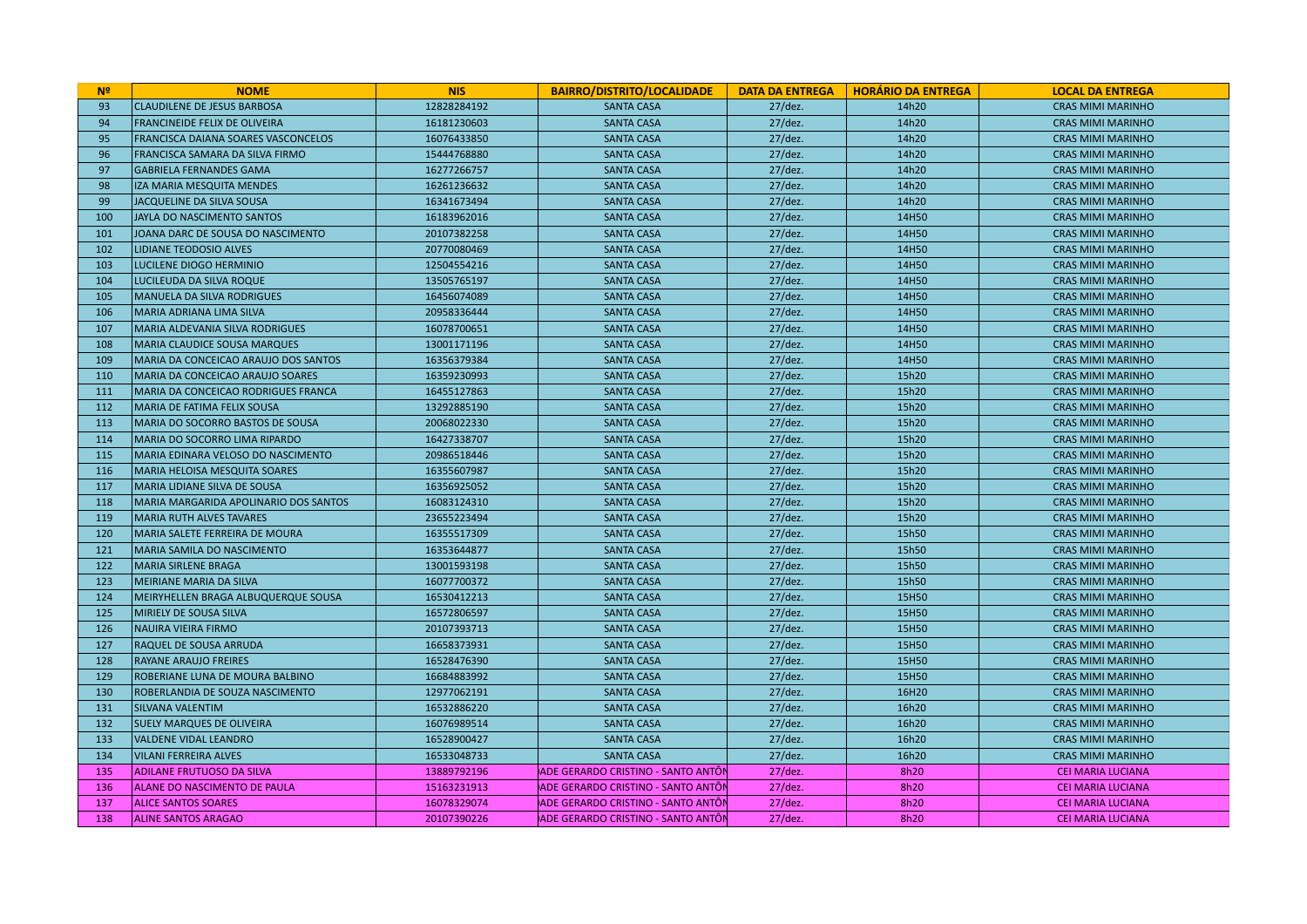| N <sup>2</sup> | <b>NOME</b>                                | <b>NIS</b>  | <b>BAIRRO/DISTRITO/LOCALIDADE</b>  |            | DATA DA ENTREGA   HORÁRIO DA ENTREGA | <b>LOCAL DA ENTREGA</b>  |
|----------------|--------------------------------------------|-------------|------------------------------------|------------|--------------------------------------|--------------------------|
| 93             | <b>CLAUDILENE DE JESUS BARBOSA</b>         | 12828284192 | <b>SANTA CASA</b>                  | $27/$ dez. | 14h20                                | <b>CRAS MIMI MARINHO</b> |
| 94             | <b>FRANCINEIDE FELIX DE OLIVEIRA</b>       | 16181230603 | <b>SANTA CASA</b>                  | $27$ /dez. | 14h20                                | <b>CRAS MIMI MARINHO</b> |
| 95             | <b>FRANCISCA DAIANA SOARES VASCONCELOS</b> | 16076433850 | <b>SANTA CASA</b>                  | $27/$ dez. | 14h20                                | <b>CRAS MIMI MARINHO</b> |
| 96             | FRANCISCA SAMARA DA SILVA FIRMO            | 15444768880 | <b>SANTA CASA</b>                  | $27/$ dez. | 14h20                                | <b>CRAS MIMI MARINHO</b> |
| 97             | <b>GABRIELA FERNANDES GAMA</b>             | 16277266757 | <b>SANTA CASA</b>                  | 27/dez.    | 14h20                                | <b>CRAS MIMI MARINHO</b> |
| 98             | <b>IZA MARIA MESQUITA MENDES</b>           | 16261236632 | <b>SANTA CASA</b>                  | $27$ /dez. | 14h20                                | <b>CRAS MIMI MARINHO</b> |
| 99             | JACQUELINE DA SILVA SOUSA                  | 16341673494 | <b>SANTA CASA</b>                  | $27$ /dez. | 14h20                                | <b>CRAS MIMI MARINHO</b> |
| 100            | IJAYLA DO NASCIMENTO SANTOS                | 16183962016 | <b>SANTA CASA</b>                  | $27/$ dez. | 14H50                                | <b>CRAS MIMI MARINHO</b> |
| 101            | JOANA DARC DE SOUSA DO NASCIMENTO          | 20107382258 | <b>SANTA CASA</b>                  | $27/$ dez. | 14H50                                | <b>CRAS MIMI MARINHO</b> |
| 102            | <b>LIDIANE TEODOSIO ALVES</b>              | 20770080469 | <b>SANTA CASA</b>                  | $27$ /dez. | 14H50                                | <b>CRAS MIMI MARINHO</b> |
| 103            | <b>LUCILENE DIOGO HERMINIO</b>             | 12504554216 | <b>SANTA CASA</b>                  | $27$ /dez. | 14H50                                | <b>CRAS MIMI MARINHO</b> |
| 104            | LUCILEUDA DA SILVA ROQUE                   | 13505765197 | <b>SANTA CASA</b>                  | $27$ /dez. | 14H50                                | <b>CRAS MIMI MARINHO</b> |
| 105            | <b>MANUELA DA SILVA RODRIGUES</b>          | 16456074089 | <b>SANTA CASA</b>                  | $27/$ dez. | 14H50                                | <b>CRAS MIMI MARINHO</b> |
| 106            | MARIA ADRIANA LIMA SILVA                   | 20958336444 | <b>SANTA CASA</b>                  | $27$ /dez. | 14H50                                | <b>CRAS MIMI MARINHO</b> |
| 107            | MARIA ALDEVANIA SILVA RODRIGUES            | 16078700651 | <b>SANTA CASA</b>                  | $27$ /dez. | 14H50                                | <b>CRAS MIMI MARINHO</b> |
| 108            | MARIA CLAUDICE SOUSA MARQUES               | 13001171196 | <b>SANTA CASA</b>                  | $27$ /dez. | 14H50                                | <b>CRAS MIMI MARINHO</b> |
| 109            | MARIA DA CONCEICAO ARAUJO DOS SANTOS       | 16356379384 | <b>SANTA CASA</b>                  | 27/dez.    | 14H50                                | <b>CRAS MIMI MARINHO</b> |
| 110            | <b>MARIA DA CONCEICAO ARAUJO SOARES</b>    | 16359230993 | <b>SANTA CASA</b>                  | $27/$ dez. | 15h20                                | <b>CRAS MIMI MARINHO</b> |
| 111            | MARIA DA CONCEICAO RODRIGUES FRANCA        | 16455127863 | <b>SANTA CASA</b>                  | $27/$ dez. | 15h20                                | <b>CRAS MIMI MARINHO</b> |
| 112            | MARIA DE FATIMA FELIX SOUSA                | 13292885190 | <b>SANTA CASA</b>                  | $27/$ dez. | 15h20                                | <b>CRAS MIMI MARINHO</b> |
| 113            | MARIA DO SOCORRO BASTOS DE SOUSA           | 20068022330 | <b>SANTA CASA</b>                  | $27$ /dez. | 15h20                                | <b>CRAS MIMI MARINHO</b> |
| 114            | MARIA DO SOCORRO LIMA RIPARDO              | 16427338707 | <b>SANTA CASA</b>                  | $27$ /dez. | 15h20                                | <b>CRAS MIMI MARINHO</b> |
| 115            | MARIA EDINARA VELOSO DO NASCIMENTO         | 20986518446 | <b>SANTA CASA</b>                  | $27$ /dez. | 15h20                                | <b>CRAS MIMI MARINHO</b> |
| 116            | MARIA HELOISA MESQUITA SOARES              | 16355607987 | <b>SANTA CASA</b>                  | $27$ /dez. | 15h20                                | <b>CRAS MIMI MARINHO</b> |
| 117            | MARIA LIDIANE SILVA DE SOUSA               | 16356925052 | <b>SANTA CASA</b>                  | $27/$ dez. | 15h20                                | <b>CRAS MIMI MARINHO</b> |
| 118            | MARIA MARGARIDA APOLINARIO DOS SANTOS      | 16083124310 | <b>SANTA CASA</b>                  | $27$ /dez. | 15h20                                | <b>CRAS MIMI MARINHO</b> |
| 119            | MARIA RUTH ALVES TAVARES                   | 23655223494 | <b>SANTA CASA</b>                  | $27$ /dez. | 15h20                                | <b>CRAS MIMI MARINHO</b> |
| 120            | MARIA SALETE FERREIRA DE MOURA             | 16355517309 | <b>SANTA CASA</b>                  | $27$ /dez. | 15h50                                | <b>CRAS MIMI MARINHO</b> |
| 121            | MARIA SAMILA DO NASCIMENTO                 | 16353644877 | <b>SANTA CASA</b>                  | $27$ /dez. | 15h50                                | <b>CRAS MIMI MARINHO</b> |
| 122            | MARIA SIRLENE BRAGA                        | 13001593198 | <b>SANTA CASA</b>                  | $27/$ dez. | 15h50                                | <b>CRAS MIMI MARINHO</b> |
| 123            | MEIRIANE MARIA DA SILVA                    | 16077700372 | <b>SANTA CASA</b>                  | $27$ /dez. | 15h50                                | <b>CRAS MIMI MARINHO</b> |
| 124            | MEIRYHELLEN BRAGA ALBUQUERQUE SOUSA        | 16530412213 | <b>SANTA CASA</b>                  | $27$ /dez. | 15H50                                | <b>CRAS MIMI MARINHO</b> |
| 125            | <b>MIRIELY DE SOUSA SILVA</b>              | 16572806597 | <b>SANTA CASA</b>                  | $27$ /dez. | 15H50                                | <b>CRAS MIMI MARINHO</b> |
| 126            | NAUIRA VIEIRA FIRMO                        | 20107393713 | <b>SANTA CASA</b>                  | $27$ /dez. | 15H50                                | <b>CRAS MIMI MARINHO</b> |
| 127            | RAQUEL DE SOUSA ARRUDA                     | 16658373931 | <b>SANTA CASA</b>                  | $27/$ dez. | 15H50                                | <b>CRAS MIMI MARINHO</b> |
| 128            | <b>RAYANE ARAUJO FREIRES</b>               | 16528476390 | <b>SANTA CASA</b>                  | $27$ /dez. | 15H50                                | <b>CRAS MIMI MARINHO</b> |
| 129            | ROBERIANE LUNA DE MOURA BALBINO            | 16684883992 | <b>SANTA CASA</b>                  | $27/$ dez. | 15H50                                | <b>CRAS MIMI MARINHO</b> |
| 130            | ROBERLANDIA DE SOUZA NASCIMENTO            | 12977062191 | <b>SANTA CASA</b>                  | $27$ /dez. | 16H20                                | <b>CRAS MIMI MARINHO</b> |
| 131            | SILVANA VALENTIM                           | 16532886220 | <b>SANTA CASA</b>                  | 27/dez.    | 16h20                                | <b>CRAS MIMI MARINHO</b> |
| 132            | <b>SUELY MARQUES DE OLIVEIRA</b>           | 16076989514 | <b>SANTA CASA</b>                  | $27/$ dez. | 16h20                                | <b>CRAS MIMI MARINHO</b> |
| 133            | VALDENE VIDAL LEANDRO                      | 16528900427 | <b>SANTA CASA</b>                  | $27$ /dez. | 16h20                                | <b>CRAS MIMI MARINHO</b> |
| 134            | <b>VILANI FERREIRA ALVES</b>               | 16533048733 | <b>SANTA CASA</b>                  | $27/$ dez. | 16h20                                | <b>CRAS MIMI MARINHO</b> |
| 135            | <b>ADILANE FRUTUOSO DA SILVA</b>           | 13889792196 | ADE GERARDO CRISTINO - SANTO ANTÔN | $27$ /dez. | 8h20                                 | <b>CEI MARIA LUCIANA</b> |
| 136            | ALANE DO NASCIMENTO DE PAULA               | 15163231913 | ADE GERARDO CRISTINO - SANTO ANTÔN | $27$ /dez. | 8h20                                 | <b>CEI MARIA LUCIANA</b> |
| 137            | <b>ALICE SANTOS SOARES</b>                 | 16078329074 | ADE GERARDO CRISTINO - SANTO ANTÔN | $27$ /dez. | 8h20                                 | <b>CEI MARIA LUCIANA</b> |
| 138            | <b>ALINE SANTOS ARAGAO</b>                 | 20107390226 | ADE GERARDO CRISTINO - SANTO ANTÔN | $27$ /dez. | 8h20                                 | <b>CEI MARIA LUCIANA</b> |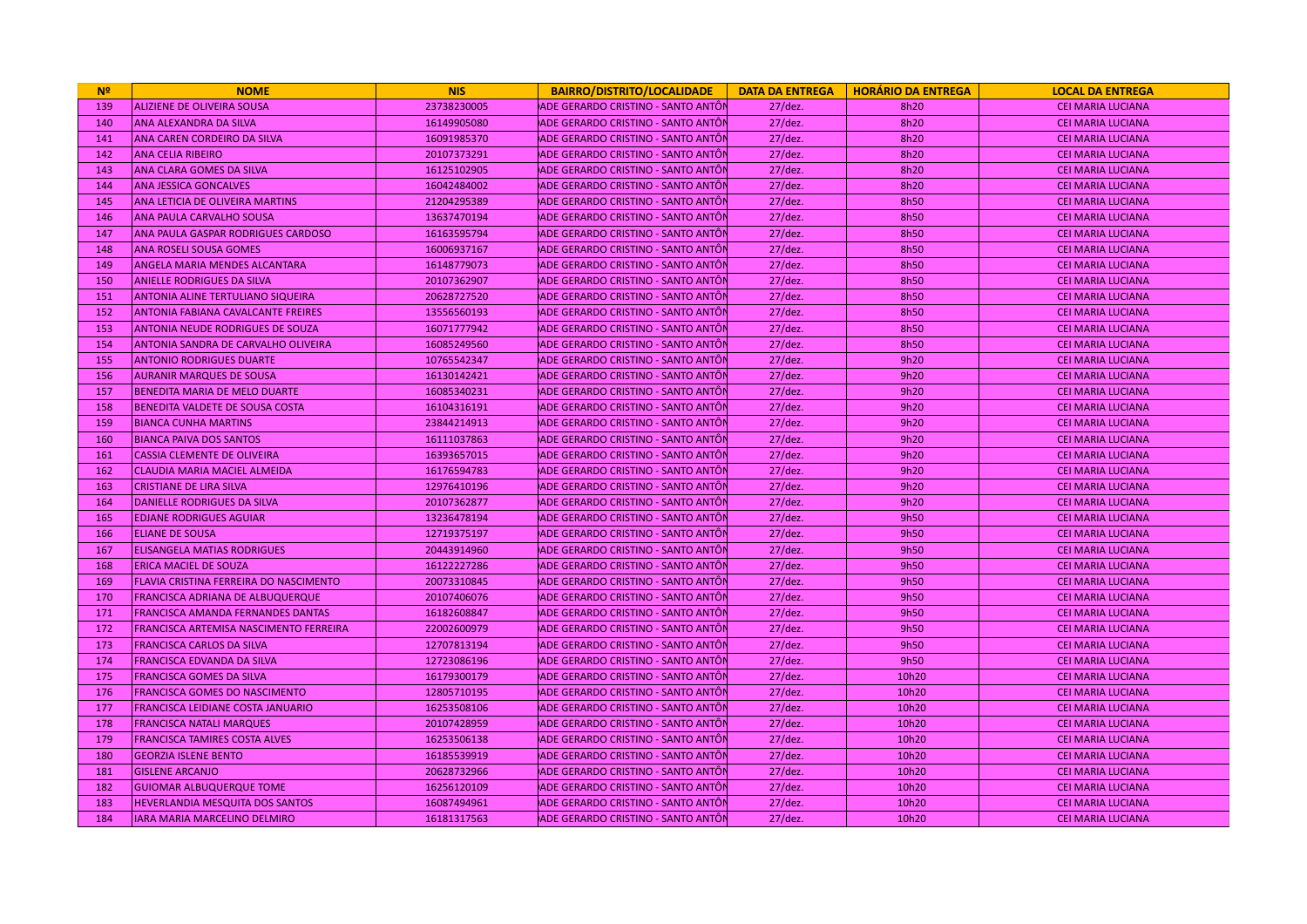| N <sup>2</sup> | <b>NOME</b>                                   | <b>NIS</b>  | <b>BAIRRO/DISTRITO/LOCALIDADE</b>          |            | DATA DA ENTREGA   HORÁRIO DA ENTREGA | <b>LOCAL DA ENTREGA</b>  |
|----------------|-----------------------------------------------|-------------|--------------------------------------------|------------|--------------------------------------|--------------------------|
| 139            | <b>ALIZIENE DE OLIVEIRA SOUSA</b>             | 23738230005 | ADE GERARDO CRISTINO - SANTO ANTÓN         | $27$ /dez. | 8h20                                 | <b>CEI MARIA LUCIANA</b> |
| 140            | <b>ANA ALEXANDRA DA SILVA</b>                 | 16149905080 | ADE GERARDO CRISTINO - SANTO ANTÔI         | $27$ /dez. | 8h20                                 | <b>CEI MARIA LUCIANA</b> |
| 141            | ANA CAREN CORDEIRO DA SILVA                   | 16091985370 | ADE GERARDO CRISTINO - SANTO ANTÔN         | $27$ /dez. | 8h20                                 | <b>CEI MARIA LUCIANA</b> |
| 142            | <b>ANA CELIA RIBEIRO</b>                      | 20107373291 | ADE GERARDO CRISTINO - SANTO ANTÔI         | $27$ /dez. | 8h20                                 | <b>CEI MARIA LUCIANA</b> |
| 143            | <b>ANA CLARA GOMES DA SILVA</b>               | 16125102905 | ADE GERARDO CRISTINO - SANTO ANTÔI         | $27$ /dez. | 8h20                                 | <b>CEI MARIA LUCIANA</b> |
| 144            | <b>ANA JESSICA GONCALVES</b>                  | 16042484002 | ADE GERARDO CRISTINO - SANTO ANTÔI         | $27$ /dez. | 8h20                                 | <b>CEI MARIA LUCIANA</b> |
| 145            | ANA LETICIA DE OLIVEIRA MARTINS               | 21204295389 | ADE GERARDO CRISTINO - SANTO ANTÔI         | $27$ /dez. | 8h50                                 | <b>CEI MARIA LUCIANA</b> |
| 146            | <b>ANA PAULA CARVALHO SOUSA</b>               | 13637470194 | ADE GERARDO CRISTINO - SANTO ANTÔN         | $27$ /dez. | 8h50                                 | <b>CEI MARIA LUCIANA</b> |
| 147            | <b>ANA PAULA GASPAR RODRIGUES CARDOSO</b>     | 16163595794 | ADE GERARDO CRISTINO - SANTO ANTÔI         | $27$ /dez. | 8h50                                 | <b>CEI MARIA LUCIANA</b> |
| 148            | <b>ANA ROSELI SOUSA GOMES</b>                 | 16006937167 | ADE GERARDO CRISTINO - SANTO ANTÔI         | $27$ /dez. | 8h50                                 | <b>CEI MARIA LUCIANA</b> |
| 149            | <b>ANGELA MARIA MENDES ALCANTARA</b>          | 16148779073 | ADE GERARDO CRISTINO - SANTO ANTÔI         | $27$ /dez. | 8h50                                 | <b>CEI MARIA LUCIANA</b> |
| 150            | <b>ANIELLE RODRIGUES DA SILVA</b>             | 20107362907 | ADE GERARDO CRISTINO - SANTO ANTÔI         | $27$ /dez. | 8h50                                 | <b>CEI MARIA LUCIANA</b> |
| 151            | <b>ANTONIA ALINE TERTULIANO SIQUEIRA</b>      | 20628727520 | ADE GERARDO CRISTINO - SANTO ANTÔN         | $27$ /dez. | 8h50                                 | CEI MARIA LUCIANA        |
| 152            | <b>ANTONIA FABIANA CAVALCANTE FREIRES</b>     | 13556560193 | ADE GERARDO CRISTINO - SANTO ANTÔI         | $27$ /dez. | 8h50                                 | <b>CEI MARIA LUCIANA</b> |
| 153            | <b>ANTONIA NEUDE RODRIGUES DE SOUZA</b>       | 16071777942 | ADE GERARDO CRISTINO - SANTO ANTÔI         | $27$ /dez. | 8h50                                 | <b>CEI MARIA LUCIANA</b> |
| 154            | <b>ANTONIA SANDRA DE CARVALHO OLIVEIRA</b>    | 16085249560 | ADE GERARDO CRISTINO - SANTO ANTÔI         | $27$ /dez. | 8h50                                 | <b>CEI MARIA LUCIANA</b> |
| 155            | <b>ANTONIO RODRIGUES DUARTE</b>               | 10765542347 | ADE GERARDO CRISTINO - SANTO ANTÔI         | $27$ /dez. | 9h20                                 | <b>CEI MARIA LUCIANA</b> |
| 156            | <b>AURANIR MARQUES DE SOUSA</b>               | 16130142421 | ADE GERARDO CRISTINO - SANTO ANTÔI         | $27$ /dez. | 9h20                                 | <b>CEI MARIA LUCIANA</b> |
| 157            | <b>BENEDITA MARIA DE MELO DUARTE</b>          | 16085340231 | ADE GERARDO CRISTINO - SANTO ANTÔI         | $27$ /dez. | 9h20                                 | <b>CEI MARIA LUCIANA</b> |
| 158            | BENEDITA VALDETE DE SOUSA COSTA               | 16104316191 | ADE GERARDO CRISTINO - SANTO ANTÔI         | $27$ /dez. | 9h20                                 | <b>CEI MARIA LUCIANA</b> |
| 159            | <b>BIANCA CUNHA MARTINS</b>                   | 23844214913 | ADE GERARDO CRISTINO - SANTO ANTÔI         | $27$ /dez. | 9h20                                 | <b>CEI MARIA LUCIANA</b> |
| 160            | <b>BIANCA PAIVA DOS SANTOS</b>                | 16111037863 | ADE GERARDO CRISTINO - SANTO ANTÔI         | $27$ /dez. | 9h20                                 | <b>CEI MARIA LUCIANA</b> |
| 161            | <b>CASSIA CLEMENTE DE OLIVEIRA</b>            | 16393657015 | ADE GERARDO CRISTINO - SANTO ANTÔN         | $27$ /dez. | 9h20                                 | <b>CEI MARIA LUCIANA</b> |
| 162            | <b>CLAUDIA MARIA MACIEL ALMEIDA</b>           | 16176594783 | ADE GERARDO CRISTINO - SANTO ANTÔI         | $27$ /dez. | 9h20                                 | <b>CEI MARIA LUCIANA</b> |
| 163            | <b>CRISTIANE DE LIRA SILVA</b>                | 12976410196 | ADE GERARDO CRISTINO - SANTO ANTÔI         | $27$ /dez. | 9h20                                 | <b>CEI MARIA LUCIANA</b> |
| 164            | <b>DANIELLE RODRIGUES DA SILVA</b>            | 20107362877 | <b>JADE GERARDO CRISTINO - SANTO ANTÔI</b> | $27$ /dez. | 9h20                                 | <b>CEI MARIA LUCIANA</b> |
| 165            | <b>EDJANE RODRIGUES AGUIAR</b>                | 13236478194 | ADE GERARDO CRISTINO - SANTO ANTÔI         | $27$ /dez. | 9h50                                 | <b>CEI MARIA LUCIANA</b> |
| 166            | <b>ELIANE DE SOUSA</b>                        | 12719375197 | ADE GERARDO CRISTINO - SANTO ANTÔI         | $27$ /dez. | 9h50                                 | <b>CEI MARIA LUCIANA</b> |
| 167            | <b>ELISANGELA MATIAS RODRIGUES</b>            | 20443914960 | ADE GERARDO CRISTINO - SANTO ANTÓN         | $27$ /dez. | 9h50                                 | <b>CEI MARIA LUCIANA</b> |
| 168            | <b>ERICA MACIEL DE SOUZA</b>                  | 16122227286 | ADE GERARDO CRISTINO - SANTO ANTÔI         | $27$ /dez. | 9h50                                 | <b>CEI MARIA LUCIANA</b> |
| 169            | <b>FLAVIA CRISTINA FERREIRA DO NASCIMENTO</b> | 20073310845 | ADE GERARDO CRISTINO - SANTO ANTÔI         | $27$ /dez. | 9h50                                 | <b>CEI MARIA LUCIANA</b> |
| 170            | <b>FRANCISCA ADRIANA DE ALBUQUERQUE</b>       | 20107406076 | ADE GERARDO CRISTINO - SANTO ANTÔI         | $27$ /dez. | 9h50                                 | <b>CEI MARIA LUCIANA</b> |
| 171            | <b>FRANCISCA AMANDA FERNANDES DANTAS</b>      | 16182608847 | ADE GERARDO CRISTINO - SANTO ANTÔI         | $27$ /dez. | 9h50                                 | <b>CEI MARIA LUCIANA</b> |
| 172            | <b>FRANCISCA ARTEMISA NASCIMENTO FERREIRA</b> | 22002600979 | ADE GERARDO CRISTINO - SANTO ANTÔI         | $27$ /dez. | 9h50                                 | <b>CEI MARIA LUCIANA</b> |
| 173            | <b>FRANCISCA CARLOS DA SILVA</b>              | 12707813194 | ADE GERARDO CRISTINO - SANTO ANTÔI         | $27$ /dez. | 9h50                                 | <b>CEI MARIA LUCIANA</b> |
| 174            | FRANCISCA EDVANDA DA SILVA                    | 12723086196 | ADE GERARDO CRISTINO - SANTO ANTÔI         | $27$ /dez. | 9h50                                 | <b>CEI MARIA LUCIANA</b> |
| 175            | <b>FRANCISCA GOMES DA SILVA</b>               | 16179300179 | ADE GERARDO CRISTINO - SANTO ANTÔI         | $27$ /dez. | 10h20                                | <b>CEI MARIA LUCIANA</b> |
| 176            | <b>FRANCISCA GOMES DO NASCIMENTO</b>          | 12805710195 | ADE GERARDO CRISTINO - SANTO ANTÔI         | $27$ /dez. | 10h20                                | <b>CEI MARIA LUCIANA</b> |
| 177            | <b>FRANCISCA LEIDIANE COSTA JANUARIO</b>      | 16253508106 | ADE GERARDO CRISTINO - SANTO ANTÔI         | $27$ /dez. | 10h20                                | <b>CEI MARIA LUCIANA</b> |
| 178            | <b>FRANCISCA NATALI MARQUES</b>               | 20107428959 | ADE GERARDO CRISTINO - SANTO ANTÔI         | $27$ /dez. | 10h20                                | <b>CEI MARIA LUCIANA</b> |
| 179            | <b>FRANCISCA TAMIRES COSTA ALVES</b>          | 16253506138 | ADE GERARDO CRISTINO - SANTO ANTÔI         | $27$ /dez. | 10h20                                | <b>CEI MARIA LUCIANA</b> |
| 180            | <b>GEORZIA ISLENE BENTO</b>                   | 16185539919 | ADE GERARDO CRISTINO - SANTO ANTÔI         | $27$ /dez. | 10h20                                | <b>CEI MARIA LUCIANA</b> |
| 181            | <b>GISLENE ARCANJO</b>                        | 20628732966 | ADE GERARDO CRISTINO - SANTO ANTÔI         | $27$ /dez. | 10h20                                | <b>CEI MARIA LUCIANA</b> |
| 182            | <b>GUIOMAR ALBUQUERQUE TOME</b>               | 16256120109 | ADE GERARDO CRISTINO - SANTO ANTÔI         | $27$ /dez. | 10h20                                | <b>CEI MARIA LUCIANA</b> |
| 183            | <b>HEVERLANDIA MESQUITA DOS SANTOS</b>        | 16087494961 | ADE GERARDO CRISTINO - SANTO ANTÔI         | $27$ /dez. | 10h20                                | <b>CEI MARIA LUCIANA</b> |
| 184            | IJARA MARIA MARCELINO DELMIRO                 | 16181317563 | ADE GERARDO CRISTINO - SANTO ANTÔN         | $27$ /dez. | 10h20                                | <b>CEI MARIA LUCIANA</b> |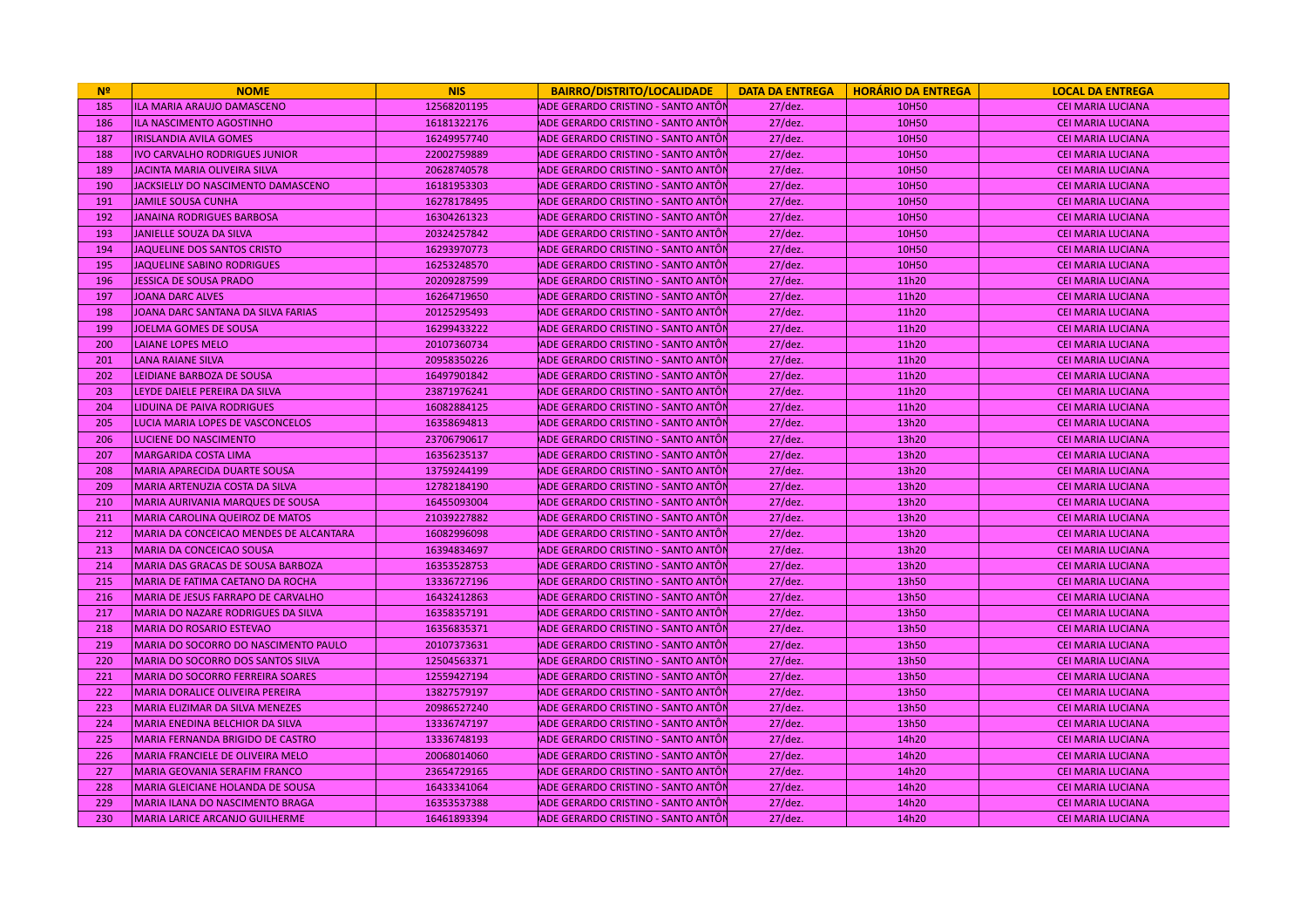| N <sup>2</sup> | <b>NOME</b>                             | <b>NIS</b>  | <b>BAIRRO/DISTRITO/LOCALIDADE</b>  |            | DATA DA ENTREGA   HORÁRIO DA ENTREGA | <b>LOCAL DA ENTREGA</b>  |
|----------------|-----------------------------------------|-------------|------------------------------------|------------|--------------------------------------|--------------------------|
| 185            | ILA MARIA ARAUJO DAMASCENO              | 12568201195 | ADE GERARDO CRISTINO - SANTO ANTÓN | $27$ /dez. | 10H50                                | <b>CEI MARIA LUCIANA</b> |
| 186            | <b>ILA NASCIMENTO AGOSTINHO</b>         | 16181322176 | ADE GERARDO CRISTINO - SANTO ANTÔI | $27$ /dez. | 10H50                                | <b>CEI MARIA LUCIANA</b> |
| 187            | <b>IRISLANDIA AVILA GOMES</b>           | 16249957740 | ADE GERARDO CRISTINO - SANTO ANTÔN | $27$ /dez. | 10H50                                | <b>CEI MARIA LUCIANA</b> |
| 188            | <b>IVO CARVALHO RODRIGUES JUNIOR</b>    | 22002759889 | ADE GERARDO CRISTINO - SANTO ANTÔI | $27$ /dez. | 10H50                                | <b>CEI MARIA LUCIANA</b> |
| 189            | JACINTA MARIA OLIVEIRA SILVA            | 20628740578 | ADE GERARDO CRISTINO - SANTO ANTÔI | $27$ /dez. | 10H50                                | <b>CEI MARIA LUCIANA</b> |
| 190            | JACKSIELLY DO NASCIMENTO DAMASCENO      | 16181953303 | ADE GERARDO CRISTINO - SANTO ANTÔI | $27$ /dez. | 10H50                                | <b>CEI MARIA LUCIANA</b> |
| 191            | <b>JAMILE SOUSA CUNHA</b>               | 16278178495 | ADE GERARDO CRISTINO - SANTO ANTÔI | $27$ /dez. | 10H50                                | <b>CEI MARIA LUCIANA</b> |
| 192            | <b>JANAINA RODRIGUES BARBOSA</b>        | 16304261323 | ADE GERARDO CRISTINO - SANTO ANTÔI | $27$ /dez. | 10H50                                | <b>CEI MARIA LUCIANA</b> |
| 193            | JANIELLE SOUZA DA SILVA                 | 20324257842 | ADE GERARDO CRISTINO - SANTO ANTÔI | $27$ /dez. | 10H50                                | <b>CEI MARIA LUCIANA</b> |
| 194            | JAQUELINE DOS SANTOS CRISTO             | 16293970773 | ADE GERARDO CRISTINO - SANTO ANTÔI | $27$ /dez. | 10H50                                | <b>CEI MARIA LUCIANA</b> |
| 195            | JAQUELINE SABINO RODRIGUES              | 16253248570 | ADE GERARDO CRISTINO - SANTO ANTÔI | $27$ /dez. | 10H50                                | <b>CEI MARIA LUCIANA</b> |
| 196            | JESSICA DE SOUSA PRADO                  | 20209287599 | ADE GERARDO CRISTINO - SANTO ANTÔI | $27$ /dez. | 11h20                                | <b>CEI MARIA LUCIANA</b> |
| 197            | <b>JOANA DARC ALVES</b>                 | 16264719650 | ADE GERARDO CRISTINO - SANTO ANTÔI | $27$ /dez. | 11h20                                | <b>CEI MARIA LUCIANA</b> |
| 198            | JOANA DARC SANTANA DA SILVA FARIAS      | 20125295493 | ADE GERARDO CRISTINO - SANTO ANTÔI | $27$ /dez. | 11h20                                | <b>CEI MARIA LUCIANA</b> |
| 199            | JOELMA GOMES DE SOUSA                   | 16299433222 | ADE GERARDO CRISTINO - SANTO ANTÔI | $27$ /dez. | 11h20                                | <b>CEI MARIA LUCIANA</b> |
| 200            | <b>LAIANE LOPES MELO</b>                | 20107360734 | ADE GERARDO CRISTINO - SANTO ANTÔI | $27$ /dez. | 11h20                                | <b>CEI MARIA LUCIANA</b> |
| 201            | <b>LANA RAIANE SILVA</b>                | 20958350226 | ADE GERARDO CRISTINO - SANTO ANTÔI | $27$ /dez. | 11h20                                | <b>CEI MARIA LUCIANA</b> |
| 202            | LEIDIANE BARBOZA DE SOUSA               | 16497901842 | ADE GERARDO CRISTINO - SANTO ANTÓN | $27$ /dez. | 11h20                                | <b>CEI MARIA LUCIANA</b> |
| 203            | LEYDE DAIELE PEREIRA DA SILVA           | 23871976241 | ADE GERARDO CRISTINO - SANTO ANTÔI | $27$ /dez. | 11h20                                | <b>CEI MARIA LUCIANA</b> |
| 204            | <b>LIDUINA DE PAIVA RODRIGUES</b>       | 16082884125 | ADE GERARDO CRISTINO - SANTO ANTÔI | $27$ /dez. | 11h20                                | <b>CEI MARIA LUCIANA</b> |
| 205            | <b>LUCIA MARIA LOPES DE VASCONCELOS</b> | 16358694813 | ADE GERARDO CRISTINO - SANTO ANTÔI | $27$ /dez. | 13h20                                | <b>CEI MARIA LUCIANA</b> |
| 206            | <b>LUCIENE DO NASCIMENTO</b>            | 23706790617 | ADE GERARDO CRISTINO - SANTO ANTÔI | $27$ /dez. | 13h20                                | <b>CEI MARIA LUCIANA</b> |
| 207            | <b>MARGARIDA COSTA LIMA</b>             | 16356235137 | ADE GERARDO CRISTINO - SANTO ANTÔI | $27$ /dez. | 13h20                                | <b>CEI MARIA LUCIANA</b> |
| 208            | <b>MARIA APARECIDA DUARTE SOUSA</b>     | 13759244199 | ADE GERARDO CRISTINO - SANTO ANTÔI | $27$ /dez. | 13h20                                | <b>CEI MARIA LUCIANA</b> |
| 209            | <b>MARIA ARTENUZIA COSTA DA SILVA</b>   | 12782184190 | ADE GERARDO CRISTINO - SANTO ANTÔI | $27$ /dez. | 13h20                                | <b>CEI MARIA LUCIANA</b> |
| 210            | MARIA AURIVANIA MARQUES DE SOUSA        | 16455093004 | ADE GERARDO CRISTINO - SANTO ANTÔI | $27$ /dez. | 13h20                                | <b>CEI MARIA LUCIANA</b> |
| 211            | MARIA CAROLINA QUEIROZ DE MATOS         | 21039227882 | ADE GERARDO CRISTINO - SANTO ANTÔI | $27$ /dez. | 13h20                                | <b>CEI MARIA LUCIANA</b> |
| 212            | MARIA DA CONCEICAO MENDES DE ALCANTARA  | 16082996098 | ADE GERARDO CRISTINO - SANTO ANTÔI | $27$ /dez. | 13h20                                | <b>CEI MARIA LUCIANA</b> |
| 213            | <b>MARIA DA CONCEICAO SOUSA</b>         | 16394834697 | ADE GERARDO CRISTINO - SANTO ANTÔI | $27$ /dez. | 13h20                                | <b>CEI MARIA LUCIANA</b> |
| 214            | MARIA DAS GRACAS DE SOUSA BARBOZA       | 16353528753 | ADE GERARDO CRISTINO - SANTO ANTÔI | $27$ /dez. | 13h20                                | <b>CEI MARIA LUCIANA</b> |
| 215            | MARIA DE FATIMA CAETANO DA ROCHA        | 13336727196 | ADE GERARDO CRISTINO - SANTO ANTÔI | $27$ /dez. | 13h50                                | <b>CEI MARIA LUCIANA</b> |
| 216            | MARIA DE JESUS FARRAPO DE CARVALHO      | 16432412863 | ADE GERARDO CRISTINO - SANTO ANTÔI | $27$ /dez. | 13h50                                | <b>CEI MARIA LUCIANA</b> |
| 217            | MARIA DO NAZARE RODRIGUES DA SILVA      | 16358357191 | ADE GERARDO CRISTINO - SANTO ANTÔI | $27$ /dez. | 13h50                                | <b>CEI MARIA LUCIANA</b> |
| 218            | <b>MARIA DO ROSARIO ESTEVAO</b>         | 16356835371 | ADE GERARDO CRISTINO - SANTO ANTÔI | $27$ /dez. | 13h50                                | <b>CEI MARIA LUCIANA</b> |
| 219            | MARIA DO SOCORRO DO NASCIMENTO PAULO    | 20107373631 | ADE GERARDO CRISTINO - SANTO ANTÔI | $27$ /dez. | 13h50                                | <b>CEI MARIA LUCIANA</b> |
| 220            | MARIA DO SOCORRO DOS SANTOS SILVA       | 12504563371 | ADE GERARDO CRISTINO - SANTO ANTÔI | $27$ /dez. | 13h50                                | <b>CEI MARIA LUCIANA</b> |
| 221            | MARIA DO SOCORRO FERREIRA SOARES        | 12559427194 | ADE GERARDO CRISTINO - SANTO ANTÔI | $27$ /dez. | 13h50                                | <b>CEI MARIA LUCIANA</b> |
| 222            | <b>MARIA DORALICE OLIVEIRA PEREIRA</b>  | 13827579197 | ADE GERARDO CRISTINO - SANTO ANTÓN | $27$ /dez. | 13h50                                | <b>CEI MARIA LUCIANA</b> |
| 223            | MARIA ELIZIMAR DA SILVA MENEZES         | 20986527240 | ADE GERARDO CRISTINO - SANTO ANTÔI | $27$ /dez. | 13h50                                | <b>CEI MARIA LUCIANA</b> |
| 224            | MARIA ENEDINA BELCHIOR DA SILVA         | 13336747197 | ADE GERARDO CRISTINO - SANTO ANTÔI | $27$ /dez. | 13h50                                | <b>CEI MARIA LUCIANA</b> |
| 225            | MARIA FERNANDA BRIGIDO DE CASTRO        | 13336748193 | ADE GERARDO CRISTINO - SANTO ANTÔI | $27$ /dez. | 14h20                                | <b>CEI MARIA LUCIANA</b> |
| 226            | MARIA FRANCIELE DE OLIVEIRA MELO        | 20068014060 | ADE GERARDO CRISTINO - SANTO ANTÔI | $27$ /dez. | 14h20                                | <b>CEI MARIA LUCIANA</b> |
| 227            | MARIA GEOVANIA SERAFIM FRANCO           | 23654729165 | ADE GERARDO CRISTINO - SANTO ANTÔI | $27$ /dez. | 14h20                                | <b>CEI MARIA LUCIANA</b> |
| 228            | <b>MARIA GLEICIANE HOLANDA DE SOUSA</b> | 16433341064 | ADE GERARDO CRISTINO - SANTO ANTÔI | $27$ /dez. | 14h20                                | <b>CEI MARIA LUCIANA</b> |
| 229            | <b>MARIA ILANA DO NASCIMENTO BRAGA</b>  | 16353537388 | ADE GERARDO CRISTINO - SANTO ANTÔI | $27$ /dez. | 14h20                                | <b>CEI MARIA LUCIANA</b> |
| 230            | MARIA LARICE ARCANJO GUILHERME          | 16461893394 | ADE GERARDO CRISTINO - SANTO ANTÔN | $27$ /dez. | 14h20                                | <b>CEI MARIA LUCIANA</b> |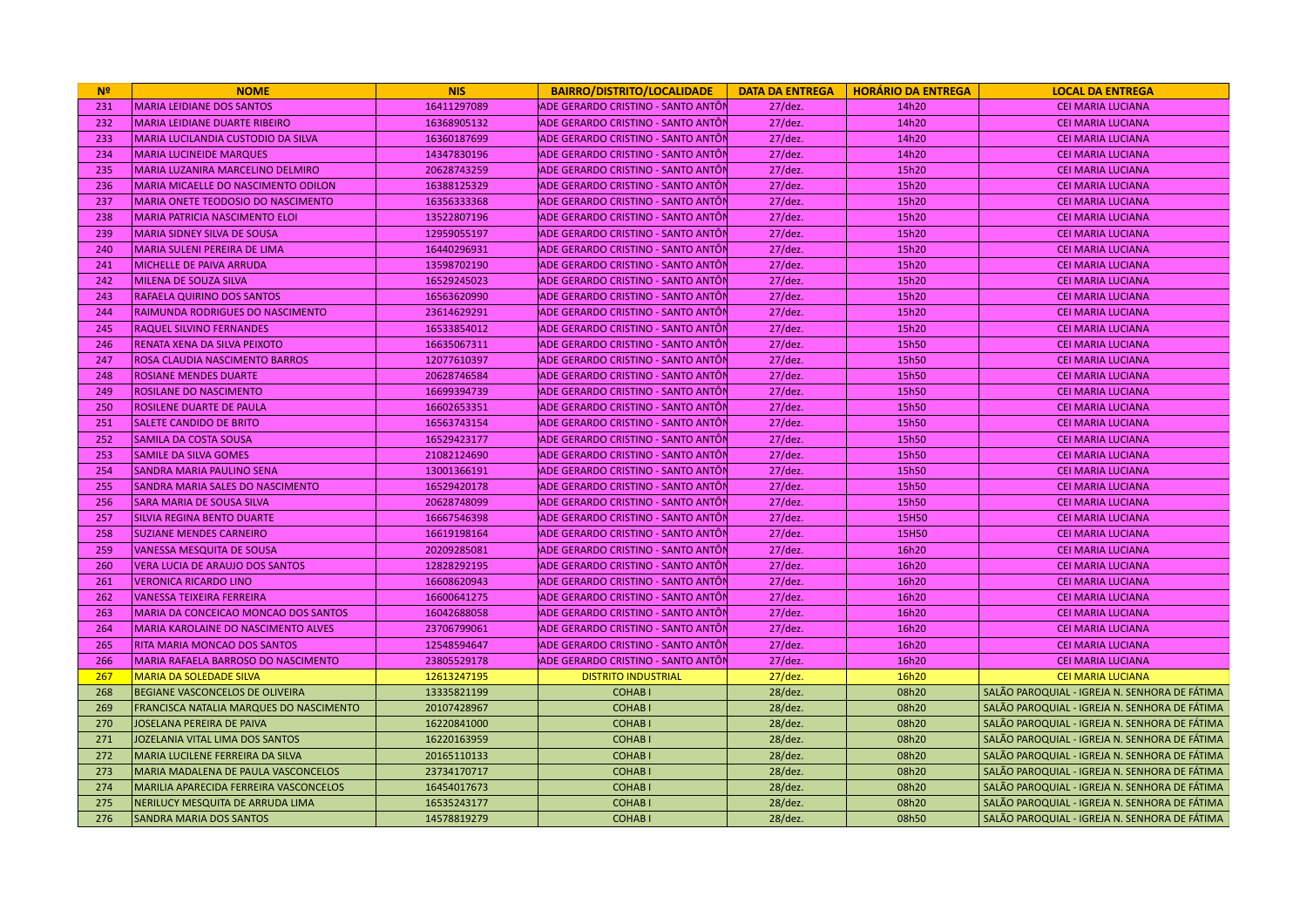| N <sup>2</sup> | <b>NOME</b>                                | <b>NIS</b>  | <b>BAIRRO/DISTRITO/LOCALIDADE</b>   |            | DATA DA ENTREGA   HORÁRIO DA ENTREGA | <b>LOCAL DA ENTREGA</b>                       |
|----------------|--------------------------------------------|-------------|-------------------------------------|------------|--------------------------------------|-----------------------------------------------|
| 231            | <b>MARIA LEIDIANE DOS SANTOS</b>           | 16411297089 | ADE GERARDO CRISTINO - SANTO ANTÔN  | $27$ /dez. | 14h20                                | <b>CEI MARIA LUCIANA</b>                      |
| 232            | <b>MARIA LEIDIANE DUARTE RIBEIRO</b>       | 16368905132 | ADE GERARDO CRISTINO - SANTO ANTÔN  | $27$ /dez. | 14h20                                | <b>CEI MARIA LUCIANA</b>                      |
| 233            | <b>MARIA LUCILANDIA CUSTODIO DA SILVA</b>  | 16360187699 | ADE GERARDO CRISTINO - SANTO ANTÔN  | $27$ /dez. | 14h20                                | CEI MARIA LUCIANA                             |
| 234            | <b>MARIA LUCINEIDE MARQUES</b>             | 14347830196 | ADE GERARDO CRISTINO - SANTO ANTÔN  | $27$ /dez. | 14h20                                | <b>CEI MARIA LUCIANA</b>                      |
| 235            | MARIA LUZANIRA MARCELINO DELMIRO           | 20628743259 | ADE GERARDO CRISTINO - SANTO ANTÔN  | $27$ /dez. | 15h20                                | <b>CEI MARIA LUCIANA</b>                      |
| 236            | MARIA MICAELLE DO NASCIMENTO ODILON        | 16388125329 | ADE GERARDO CRISTINO - SANTO ANTÔN  | $27$ /dez. | 15h20                                | <b>CEI MARIA LUCIANA</b>                      |
| 237            | MARIA ONETE TEODOSIO DO NASCIMENTO         | 16356333368 | ADE GERARDO CRISTINO - SANTO ANTÔI  | $27$ /dez. | 15h20                                | <b>CEI MARIA LUCIANA</b>                      |
| 238            | MARIA PATRICIA NASCIMENTO ELOI             | 13522807196 | ADE GERARDO CRISTINO - SANTO ANTÔN  | $27$ /dez. | 15h20                                | <b>CEI MARIA LUCIANA</b>                      |
| 239            | <b>MARIA SIDNEY SILVA DE SOUSA</b>         | 12959055197 | ADE GERARDO CRISTINO - SANTO ANTÔN  | $27$ /dez. | 15h20                                | <b>CEI MARIA LUCIANA</b>                      |
| 240            | <b>MARIA SULENI PEREIRA DE LIMA</b>        | 16440296931 | ADE GERARDO CRISTINO - SANTO ANTÔN  | $27$ /dez. | 15h20                                | <b>CEI MARIA LUCIANA</b>                      |
| 241            | MICHELLE DE PAIVA ARRUDA                   | 13598702190 | ADE GERARDO CRISTINO - SANTO ANTÔN  | $27$ /dez. | 15h20                                | <b>CEI MARIA LUCIANA</b>                      |
| 242            | MILENA DE SOUZA SILVA                      | 16529245023 | ADE GERARDO CRISTINO - SANTO ANTÔI  | $27$ /dez. | 15h20                                | <b>CEI MARIA LUCIANA</b>                      |
| 243            | <b>RAFAELA QUIRINO DOS SANTOS</b>          | 16563620990 | ADE GERARDO CRISTINO - SANTO ANTÔN  | $27$ /dez. | 15h20                                | <b>CEI MARIA LUCIANA</b>                      |
| 244            | <b>RAIMUNDA RODRIGUES DO NASCIMENTO</b>    | 23614629291 | ADE GERARDO CRISTINO - SANTO ANTÔN  | $27$ /dez. | 15h20                                | <b>CEI MARIA LUCIANA</b>                      |
| 245            | <b>RAQUEL SILVINO FERNANDES</b>            | 16533854012 | ADE GERARDO CRISTINO - SANTO ANTÔN  | $27$ /dez. | 15h20                                | <b>CEI MARIA LUCIANA</b>                      |
| 246            | <b>RENATA XENA DA SILVA PEIXOTO</b>        | 16635067311 | ADE GERARDO CRISTINO - SANTO ANTÔN  | $27$ /dez. | 15h50                                | <b>CEI MARIA LUCIANA</b>                      |
| 247            | ROSA CLAUDIA NASCIMENTO BARROS             | 12077610397 | ADE GERARDO CRISTINO - SANTO ANTÔN  | $27$ /dez. | 15h50                                | <b>CEI MARIA LUCIANA</b>                      |
| 248            | <b>ROSIANE MENDES DUARTE</b>               | 20628746584 | ADE GERARDO CRISTINO - SANTO ANTÔN  | $27$ /dez. | 15h50                                | <b>CEI MARIA LUCIANA</b>                      |
| 249            | <b>ROSILANE DO NASCIMENTO</b>              | 16699394739 | ADE GERARDO CRISTINO - SANTO ANTÔN  | $27$ /dez. | 15h50                                | CEI MARIA LUCIANA                             |
| 250            | <b>ROSILENE DUARTE DE PAULA</b>            | 16602653351 | ADE GERARDO CRISTINO - SANTO ANTÔN  | $27$ /dez. | 15h50                                | <b>CEI MARIA LUCIANA</b>                      |
| 251            | <b>SALETE CANDIDO DE BRITO</b>             | 16563743154 | ADE GERARDO CRISTINO - SANTO ANTÔN  | $27$ /dez. | 15h50                                | <b>CEI MARIA LUCIANA</b>                      |
| 252            | <b>SAMILA DA COSTA SOUSA</b>               | 16529423177 | ADE GERARDO CRISTINO - SANTO ANTÔN  | $27$ /dez. | 15h50                                | <b>CEI MARIA LUCIANA</b>                      |
| 253            | <b>SAMILE DA SILVA GOMES</b>               | 21082124690 | ÍADE GERARDO CRISTINO - SANTO ANTÔI | $27$ /dez. | 15h50                                | <b>CEI MARIA LUCIANA</b>                      |
| 254            | <b>SANDRA MARIA PAULINO SENA</b>           | 13001366191 | ADE GERARDO CRISTINO - SANTO ANTÔN  | $27$ /dez. | 15h50                                | <b>CEI MARIA LUCIANA</b>                      |
| 255            | <b>SANDRA MARIA SALES DO NASCIMENTO</b>    | 16529420178 | ADE GERARDO CRISTINO - SANTO ANTÔN  | $27$ /dez. | 15h50                                | <b>CEI MARIA LUCIANA</b>                      |
| 256            | lSARA MARIA DE SOUSA SILVA                 | 20628748099 | ÍADE GERARDO CRISTINO - SANTO ANTÔN | $27$ /dez. | 15h50                                | <b>CEI MARIA LUCIANA</b>                      |
| 257            | <b>SILVIA REGINA BENTO DUARTE</b>          | 16667546398 | ADE GERARDO CRISTINO - SANTO ANTÔN  | $27$ /dez. | 15H50                                | <b>CEI MARIA LUCIANA</b>                      |
| 258            | <b>SUZIANE MENDES CARNEIRO</b>             | 16619198164 | ADE GERARDO CRISTINO - SANTO ANTÔI  | $27$ /dez. | 15H50                                | <b>CEI MARIA LUCIANA</b>                      |
| 259            | <b>VANESSA MESQUITA DE SOUSA</b>           | 20209285081 | ADE GERARDO CRISTINO - SANTO ANTÔN  | $27$ /dez. | 16h20                                | <b>CEI MARIA LUCIANA</b>                      |
| 260            | <b>VERA LUCIA DE ARAUJO DOS SANTOS</b>     | 12828292195 | ADE GERARDO CRISTINO - SANTO ANTÔN  | $27$ /dez. | 16h20                                | <b>CEI MARIA LUCIANA</b>                      |
| 261            | <b>VERONICA RICARDO LINO</b>               | 16608620943 | ADE GERARDO CRISTINO - SANTO ANTÔN  | $27$ /dez. | 16h20                                | <b>CEI MARIA LUCIANA</b>                      |
| 262            | <b>VANESSA TEIXEIRA FERREIRA</b>           | 16600641275 | ADE GERARDO CRISTINO - SANTO ANTÔN  | $27$ /dez. | 16h20                                | <b>CEI MARIA LUCIANA</b>                      |
| 263            | MARIA DA CONCEICAO MONCAO DOS SANTOS       | 16042688058 | ADE GERARDO CRISTINO - SANTO ANTÔI  | $27$ /dez. | 16h20                                | <b>CEI MARIA LUCIANA</b>                      |
| 264            | <b>MARIA KAROLAINE DO NASCIMENTO ALVES</b> | 23706799061 | ADE GERARDO CRISTINO - SANTO ANTÔI  | $27$ /dez. | 16h20                                | <b>CEI MARIA LUCIANA</b>                      |
| 265            | <b>RITA MARIA MONCAO DOS SANTOS</b>        | 12548594647 | ADE GERARDO CRISTINO - SANTO ANTÔN  | $27$ /dez. | 16h20                                | <b>CEI MARIA LUCIANA</b>                      |
| 266            | MARIA RAFAELA BARROSO DO NASCIMENTO        | 23805529178 | ADE GERARDO CRISTINO - SANTO ANTÔI  | $27$ /dez. | 16h20                                | <b>CEI MARIA LUCIANA</b>                      |
| 267            | <b>MARIA DA SOLEDADE SILVA</b>             | 12613247195 | <b>DISTRITO INDUSTRIAL</b>          | $27$ /dez. | 16h20                                | <b>CEI MARIA LUCIANA</b>                      |
| 268            | BEGIANE VASCONCELOS DE OLIVEIRA            | 13335821199 | <b>COHABI</b>                       | 28/dez.    | 08h20                                | SALÃO PAROQUIAL - IGREJA N. SENHORA DE FÁTIMA |
| 269            | FRANCISCA NATALIA MARQUES DO NASCIMENTO    | 20107428967 | <b>COHABI</b>                       | 28/dez.    | 08h20                                | SALÃO PAROQUIAL - IGREJA N. SENHORA DE FÁTIMA |
| 270            | JOSELANA PEREIRA DE PAIVA                  | 16220841000 | <b>COHABI</b>                       | 28/dez.    | 08h20                                | SALÃO PAROQUIAL - IGREJA N. SENHORA DE FÁTIMA |
| 271            | JOZELANIA VITAL LIMA DOS SANTOS            | 16220163959 | <b>COHABI</b>                       | $28$ /dez. | 08h20                                | SALÃO PAROQUIAL - IGREJA N. SENHORA DE FÁTIMA |
| 272            | MARIA LUCILENE FERREIRA DA SILVA           | 20165110133 | <b>COHABI</b>                       | 28/dez.    | 08h20                                | SALÃO PAROQUIAL - IGREJA N. SENHORA DE FÁTIMA |
| 273            | MARIA MADALENA DE PAULA VASCONCELOS        | 23734170717 | <b>COHABI</b>                       | $28$ /dez. | 08h20                                | SALÃO PAROQUIAL - IGREJA N. SENHORA DE FÁTIMA |
| 274            | MARILIA APARECIDA FERREIRA VASCONCELOS     | 16454017673 | <b>COHABI</b>                       | 28/dez.    | 08h20                                | SALÃO PAROQUIAL - IGREJA N. SENHORA DE FÁTIMA |
| 275            | NERILUCY MESQUITA DE ARRUDA LIMA           | 16535243177 | <b>COHABI</b>                       | 28/dez.    | 08h20                                | SALÃO PAROQUIAL - IGREJA N. SENHORA DE FÁTIMA |
| 276            | <b>SANDRA MARIA DOS SANTOS</b>             | 14578819279 | <b>COHABI</b>                       | 28/dez.    | 08h50                                | SALÃO PAROQUIAL - IGREJA N. SENHORA DE FÁTIMA |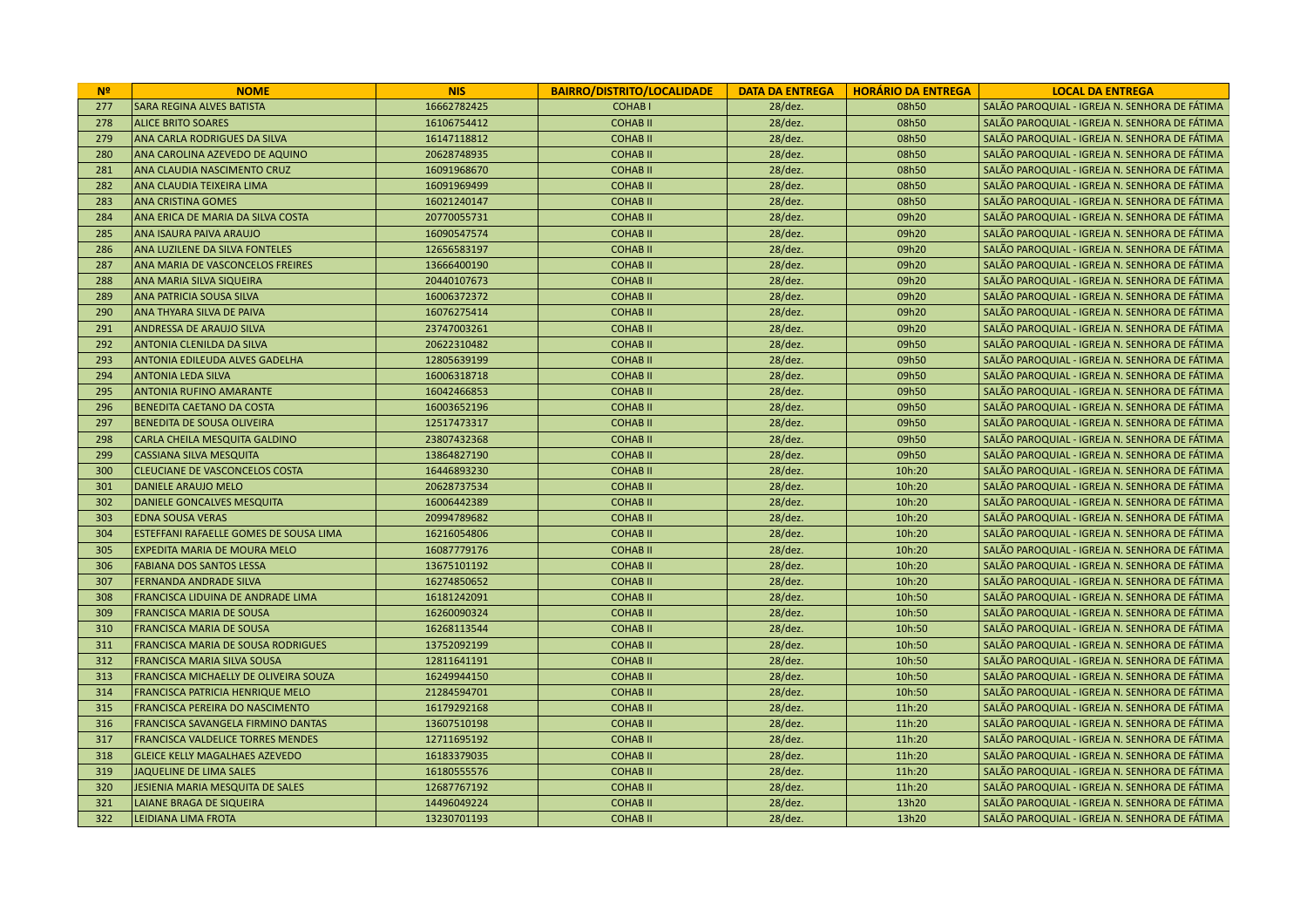| N <sup>2</sup> | <b>NOME</b>                                   | <b>NIS</b>  | <b>BAIRRO/DISTRITO/LOCALIDADE</b> |            | DATA DA ENTREGA   HORÁRIO DA ENTREGA | <b>LOCAL DA ENTREGA</b>                       |
|----------------|-----------------------------------------------|-------------|-----------------------------------|------------|--------------------------------------|-----------------------------------------------|
| 277            | <b>SARA REGINA ALVES BATISTA</b>              | 16662782425 | <b>COHABI</b>                     | $28$ /dez. | 08h50                                | SALÃO PAROQUIAL - IGREJA N. SENHORA DE FÁTIMA |
| 278            | <b>ALICE BRITO SOARES</b>                     | 16106754412 | <b>COHABII</b>                    | 28/dez.    | 08h50                                | SALÃO PAROQUIAL - IGREJA N. SENHORA DE FÁTIMA |
| 279            | <b>ANA CARLA RODRIGUES DA SILVA</b>           | 16147118812 | <b>COHABII</b>                    | 28/dez.    | 08h50                                | SALÃO PAROQUIAL - IGREJA N. SENHORA DE FÁTIMA |
| 280            | ANA CAROLINA AZEVEDO DE AQUINO                | 20628748935 | <b>COHABII</b>                    | $28$ /dez. | 08h50                                | SALÃO PAROQUIAL - IGREJA N. SENHORA DE FÁTIMA |
| 281            | <b>ANA CLAUDIA NASCIMENTO CRUZ</b>            | 16091968670 | <b>COHABII</b>                    | 28/dez.    | 08h50                                | SALÃO PAROQUIAL - IGREJA N. SENHORA DE FÁTIMA |
| 282            | ANA CLAUDIA TEIXEIRA LIMA                     | 16091969499 | <b>COHABII</b>                    | 28/dez.    | 08h50                                | SALÃO PAROQUIAL - IGREJA N. SENHORA DE FÁTIMA |
| 283            | <b>ANA CRISTINA GOMES</b>                     | 16021240147 | <b>COHABII</b>                    | 28/dez.    | 08h50                                | SALÃO PAROQUIAL - IGREJA N. SENHORA DE FÁTIMA |
| 284            | ANA ERICA DE MARIA DA SILVA COSTA             | 20770055731 | <b>COHABII</b>                    | 28/dez.    | 09h20                                | SALÃO PAROQUIAL - IGREJA N. SENHORA DE FÁTIMA |
| 285            | <b>ANA ISAURA PAIVA ARAUJO</b>                | 16090547574 | <b>COHABII</b>                    | 28/dez.    | 09h20                                | SALÃO PAROQUIAL - IGREJA N. SENHORA DE FÁTIMA |
| 286            | ANA LUZILENE DA SILVA FONTELES                | 12656583197 | <b>COHABII</b>                    | 28/dez.    | 09h20                                | SALÃO PAROQUIAL - IGREJA N. SENHORA DE FÁTIMA |
| 287            | ANA MARIA DE VASCONCELOS FREIRES              | 13666400190 | <b>COHABII</b>                    | 28/dez.    | 09h20                                | SALÃO PAROQUIAL - IGREJA N. SENHORA DE FÁTIMA |
| 288            | <b>ANA MARIA SILVA SIQUEIRA</b>               | 20440107673 | <b>COHABII</b>                    | 28/dez.    | 09h20                                | SALÃO PAROQUIAL - IGREJA N. SENHORA DE FÁTIMA |
| 289            | ANA PATRICIA SOUSA SILVA                      | 16006372372 | <b>COHABII</b>                    | 28/dez.    | 09h20                                | SALÃO PAROQUIAL - IGREJA N. SENHORA DE FÁTIMA |
| 290            | <b>ANA THYARA SILVA DE PAIVA</b>              | 16076275414 | <b>COHABII</b>                    | 28/dez.    | 09h20                                | SALÃO PAROQUIAL - IGREJA N. SENHORA DE FÁTIMA |
| 291            | <b>ANDRESSA DE ARAUJO SILVA</b>               | 23747003261 | <b>COHABII</b>                    | 28/dez.    | 09h20                                | SALÃO PAROQUIAL - IGREJA N. SENHORA DE FÁTIMA |
| 292            | <b>ANTONIA CLENILDA DA SILVA</b>              | 20622310482 | <b>COHABII</b>                    | 28/dez.    | 09h50                                | SALÃO PAROQUIAL - IGREJA N. SENHORA DE FÁTIMA |
| 293            | <b>ANTONIA EDILEUDA ALVES GADELHA</b>         | 12805639199 | <b>COHAB II</b>                   | 28/dez.    | 09h50                                | SALÃO PAROQUIAL - IGREJA N. SENHORA DE FÁTIMA |
| 294            | <b>ANTONIA LEDA SILVA</b>                     | 16006318718 | <b>COHABII</b>                    | 28/dez.    | 09h50                                | SALÃO PAROQUIAL - IGREJA N. SENHORA DE FÁTIMA |
| 295            | <b>ANTONIA RUFINO AMARANTE</b>                | 16042466853 | <b>COHABII</b>                    | 28/dez.    | 09h50                                | SALÃO PAROQUIAL - IGREJA N. SENHORA DE FÁTIMA |
| 296            | <b>BENEDITA CAETANO DA COSTA</b>              | 16003652196 | <b>COHABII</b>                    | 28/dez.    | 09h50                                | SALÃO PAROQUIAL - IGREJA N. SENHORA DE FÁTIMA |
| 297            | <b>BENEDITA DE SOUSA OLIVEIRA</b>             | 12517473317 | <b>COHABII</b>                    | 28/dez.    | 09h50                                | SALÃO PAROQUIAL - IGREJA N. SENHORA DE FÁTIMA |
| 298            | CARLA CHEILA MESQUITA GALDINO                 | 23807432368 | <b>COHABII</b>                    | $28$ /dez. | 09h50                                | SALÃO PAROQUIAL - IGREJA N. SENHORA DE FÁTIMA |
| 299            | <b>CASSIANA SILVA MESQUITA</b>                | 13864827190 | <b>COHABII</b>                    | 28/dez.    | 09h50                                | SALÃO PAROQUIAL - IGREJA N. SENHORA DE FÁTIMA |
| 300            | CLEUCIANE DE VASCONCELOS COSTA                | 16446893230 | <b>COHABII</b>                    | 28/dez.    | 10h:20                               | SALÃO PAROQUIAL - IGREJA N. SENHORA DE FÁTIMA |
| 301            | DANIELE ARAUJO MELO                           | 20628737534 | <b>COHABII</b>                    | 28/dez.    | 10h:20                               | SALÃO PAROQUIAL - IGREJA N. SENHORA DE FÁTIMA |
| 302            | DANIELE GONCALVES MESQUITA                    | 16006442389 | <b>COHABII</b>                    | 28/dez.    | 10h:20                               | SALÃO PAROQUIAL - IGREJA N. SENHORA DE FÁTIMA |
| 303            | <b>EDNA SOUSA VERAS</b>                       | 20994789682 | <b>COHABII</b>                    | 28/dez.    | 10h:20                               | SALÃO PAROQUIAL - IGREJA N. SENHORA DE FÁTIMA |
| 304            | <b>ESTEFFANI RAFAELLE GOMES DE SOUSA LIMA</b> | 16216054806 | <b>COHABII</b>                    | 28/dez.    | 10h:20                               | SALÃO PAROQUIAL - IGREJA N. SENHORA DE FÁTIMA |
| 305            | <b>EXPEDITA MARIA DE MOURA MELO</b>           | 16087779176 | <b>COHABII</b>                    | 28/dez.    | 10h:20                               | SALÃO PAROQUIAL - IGREJA N. SENHORA DE FÁTIMA |
| 306            | <b>FABIANA DOS SANTOS LESSA</b>               | 13675101192 | <b>COHABII</b>                    | 28/dez.    | 10h:20                               | SALÃO PAROQUIAL - IGREJA N. SENHORA DE FÁTIMA |
| 307            | <b>FERNANDA ANDRADE SILVA</b>                 | 16274850652 | <b>COHABII</b>                    | $28$ /dez. | 10h:20                               | SALÃO PAROQUIAL - IGREJA N. SENHORA DE FÁTIMA |
| 308            | <b>FRANCISCA LIDUINA DE ANDRADE LIMA</b>      | 16181242091 | <b>COHAB II</b>                   | 28/dez.    | 10h:50                               | SALÃO PAROQUIAL - IGREJA N. SENHORA DE FÁTIMA |
| 309            | <b>FRANCISCA MARIA DE SOUSA</b>               | 16260090324 | <b>COHABII</b>                    | 28/dez.    | 10h:50                               | SALÃO PAROQUIAL - IGREJA N. SENHORA DE FÁTIMA |
| 310            | <b>FRANCISCA MARIA DE SOUSA</b>               | 16268113544 | <b>COHABII</b>                    | 28/dez.    | 10h:50                               | SALÃO PAROQUIAL - IGREJA N. SENHORA DE FÁTIMA |
| 311            | <b>FRANCISCA MARIA DE SOUSA RODRIGUES</b>     | 13752092199 | <b>COHABII</b>                    | 28/dez.    | 10h:50                               | SALÃO PAROQUIAL - IGREJA N. SENHORA DE FÁTIMA |
| 312            | <b>FRANCISCA MARIA SILVA SOUSA</b>            | 12811641191 | <b>COHABII</b>                    | 28/dez.    | 10h:50                               | SALÃO PAROQUIAL - IGREJA N. SENHORA DE FÁTIMA |
| 313            | FRANCISCA MICHAELLY DE OLIVEIRA SOUZA         | 16249944150 | <b>COHABII</b>                    | 28/dez.    | 10h:50                               | SALÃO PAROQUIAL - IGREJA N. SENHORA DE FÁTIMA |
| 314            | <b>FRANCISCA PATRICIA HENRIQUE MELO</b>       | 21284594701 | <b>COHABII</b>                    | $28$ /dez. | 10h:50                               | SALÃO PAROQUIAL - IGREJA N. SENHORA DE FÁTIMA |
| 315            | <b>FRANCISCA PEREIRA DO NASCIMENTO</b>        | 16179292168 | <b>COHAB II</b>                   | 28/dez.    | 11h:20                               | SALÃO PAROQUIAL - IGREJA N. SENHORA DE FÁTIMA |
| 316            | <b>FRANCISCA SAVANGELA FIRMINO DANTAS</b>     | 13607510198 | <b>COHABII</b>                    | 28/dez.    | 11h:20                               | SALÃO PAROQUIAL - IGREJA N. SENHORA DE FÁTIMA |
| 317            | <b>FRANCISCA VALDELICE TORRES MENDES</b>      | 12711695192 | <b>COHABII</b>                    | $28$ /dez. | 11h:20                               | SALÃO PAROQUIAL - IGREJA N. SENHORA DE FÁTIMA |
| 318            | <b>GLEICE KELLY MAGALHAES AZEVEDO</b>         | 16183379035 | <b>COHABII</b>                    | 28/dez.    | 11h:20                               | SALÃO PAROQUIAL - IGREJA N. SENHORA DE FÁTIMA |
| 319            | JAQUELINE DE LIMA SALES                       | 16180555576 | <b>COHABII</b>                    | 28/dez.    | 11h:20                               | SALÃO PAROQUIAL - IGREJA N. SENHORA DE FÁTIMA |
| 320            | JESIENIA MARIA MESQUITA DE SALES              | 12687767192 | <b>COHABII</b>                    | 28/dez.    | 11h:20                               | SALÃO PAROQUIAL - IGREJA N. SENHORA DE FÁTIMA |
| 321            | <b>LAIANE BRAGA DE SIQUEIRA</b>               | 14496049224 | <b>COHABII</b>                    | 28/dez.    | 13h20                                | SALÃO PAROQUIAL - IGREJA N. SENHORA DE FÁTIMA |
| 322            | LEIDIANA LIMA FROTA                           | 13230701193 | <b>COHABII</b>                    | 28/dez.    | 13h20                                | SALÃO PAROQUIAL - IGREJA N. SENHORA DE FÁTIMA |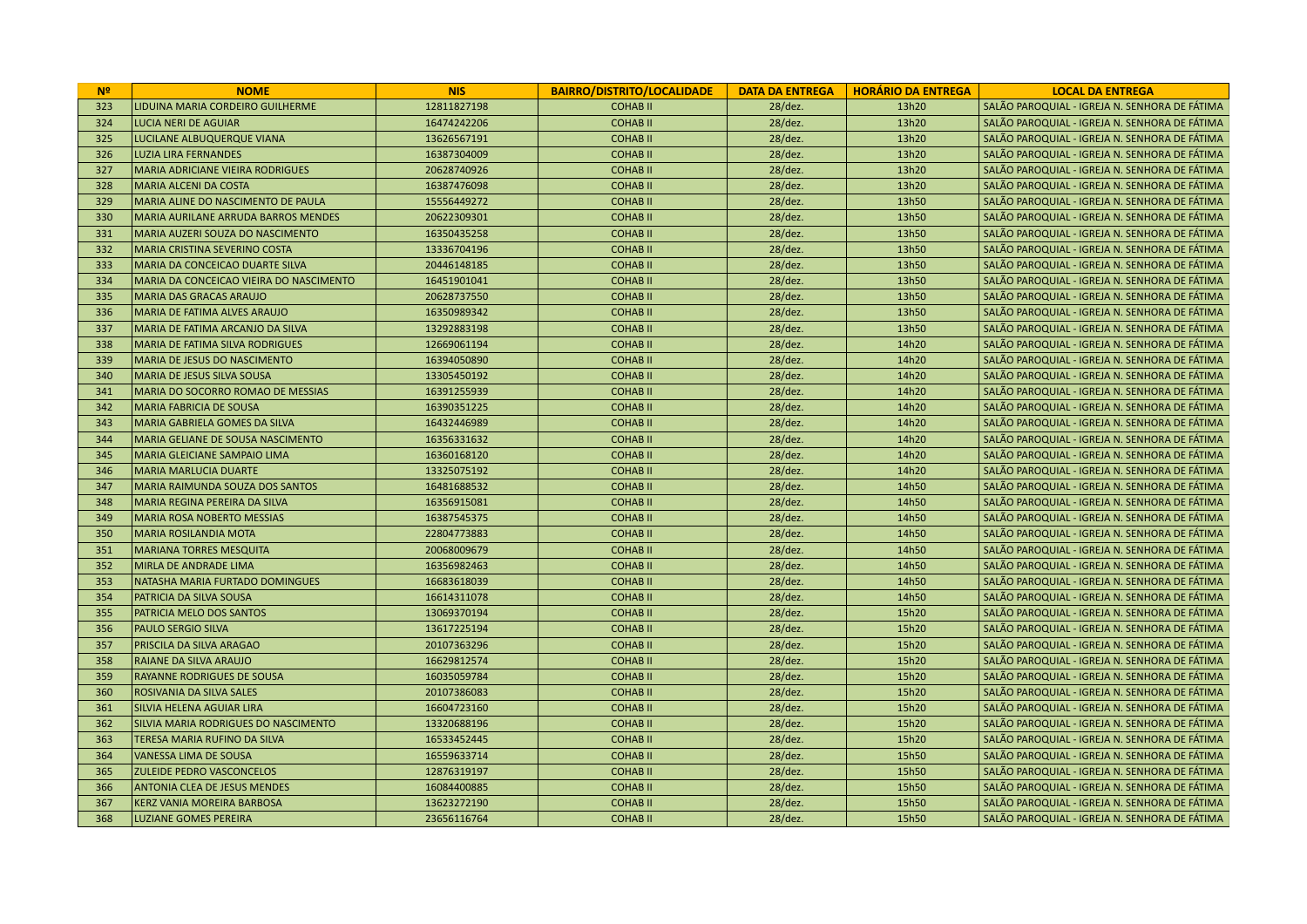| N <sup>2</sup> | <b>NOME</b>                                | <b>NIS</b>  | <b>BAIRRO/DISTRITO/LOCALIDADE</b> | <b>DATA DA ENTREGA</b> | <b>HORÁRIO DA ENTREGA</b> | <b>LOCAL DA ENTREGA</b>                       |
|----------------|--------------------------------------------|-------------|-----------------------------------|------------------------|---------------------------|-----------------------------------------------|
| 323            | LIDUINA MARIA CORDEIRO GUILHERME           | 12811827198 | <b>COHABII</b>                    | $28$ /dez.             | 13h20                     | SALÃO PAROQUIAL - IGREJA N. SENHORA DE FÁTIMA |
| 324            | <b>LUCIA NERI DE AGUIAR</b>                | 16474242206 | <b>COHABII</b>                    | 28/dez.                | 13h20                     | SALÃO PAROQUIAL - IGREJA N. SENHORA DE FÁTIMA |
| 325            | LUCILANE ALBUQUERQUE VIANA                 | 13626567191 | <b>COHABII</b>                    | 28/dez.                | 13h20                     | SALÃO PAROQUIAL - IGREJA N. SENHORA DE FÁTIMA |
| 326            | <b>LUZIA LIRA FERNANDES</b>                | 16387304009 | <b>COHABII</b>                    | $28$ /dez.             | 13h20                     | SALÃO PAROQUIAL - IGREJA N. SENHORA DE FÁTIMA |
| 327            | <b>MARIA ADRICIANE VIEIRA RODRIGUES</b>    | 20628740926 | <b>COHABII</b>                    | 28/dez.                | 13h20                     | SALÃO PAROQUIAL - IGREJA N. SENHORA DE FÁTIMA |
| 328            | <b>MARIA ALCENI DA COSTA</b>               | 16387476098 | <b>COHABII</b>                    | 28/dez.                | 13h20                     | SALÃO PAROQUIAL - IGREJA N. SENHORA DE FÁTIMA |
| 329            | MARIA ALINE DO NASCIMENTO DE PAULA         | 15556449272 | <b>COHABII</b>                    | 28/dez.                | 13h50                     | SALÃO PAROQUIAL - IGREJA N. SENHORA DE FÁTIMA |
| 330            | <b>MARIA AURILANE ARRUDA BARROS MENDES</b> | 20622309301 | <b>COHABII</b>                    | 28/dez.                | 13h50                     | SALÃO PAROQUIAL - IGREJA N. SENHORA DE FÁTIMA |
| 331            | MARIA AUZERI SOUZA DO NASCIMENTO           | 16350435258 | <b>COHABII</b>                    | 28/dez.                | 13h50                     | SALÃO PAROQUIAL - IGREJA N. SENHORA DE FÁTIMA |
| 332            | MARIA CRISTINA SEVERINO COSTA              | 13336704196 | <b>COHABII</b>                    | 28/dez.                | 13h50                     | SALÃO PAROQUIAL - IGREJA N. SENHORA DE FÁTIMA |
| 333            | MARIA DA CONCEICAO DUARTE SILVA            | 20446148185 | <b>COHABII</b>                    | 28/dez.                | 13h50                     | SALÃO PAROQUIAL - IGREJA N. SENHORA DE FÁTIMA |
| 334            | MARIA DA CONCEICAO VIEIRA DO NASCIMENTO    | 16451901041 | <b>COHABII</b>                    | 28/dez.                | 13h50                     | SALÃO PAROQUIAL - IGREJA N. SENHORA DE FÁTIMA |
| 335            | <b>MARIA DAS GRACAS ARAUJO</b>             | 20628737550 | <b>COHABII</b>                    | 28/dez.                | 13h50                     | SALÃO PAROQUIAL - IGREJA N. SENHORA DE FÁTIMA |
| 336            | MARIA DE FATIMA ALVES ARAUJO               | 16350989342 | <b>COHABII</b>                    | 28/dez.                | 13h50                     | SALÃO PAROQUIAL - IGREJA N. SENHORA DE FÁTIMA |
| 337            | MARIA DE FATIMA ARCANJO DA SILVA           | 13292883198 | <b>COHABII</b>                    | 28/dez.                | 13h50                     | SALÃO PAROQUIAL - IGREJA N. SENHORA DE FÁTIMA |
| 338            | MARIA DE FATIMA SILVA RODRIGUES            | 12669061194 | <b>COHABII</b>                    | 28/dez.                | 14h20                     | SALÃO PAROQUIAL - IGREJA N. SENHORA DE FÁTIMA |
| 339            | MARIA DE JESUS DO NASCIMENTO               | 16394050890 | <b>COHABII</b>                    | 28/dez.                | 14h20                     | SALÃO PAROQUIAL - IGREJA N. SENHORA DE FÁTIMA |
| 340            | MARIA DE JESUS SILVA SOUSA                 | 13305450192 | <b>COHABII</b>                    | 28/dez.                | 14h20                     | SALÃO PAROQUIAL - IGREJA N. SENHORA DE FÁTIMA |
| 341            | MARIA DO SOCORRO ROMAO DE MESSIAS          | 16391255939 | <b>COHABII</b>                    | 28/dez.                | 14h20                     | SALÃO PAROQUIAL - IGREJA N. SENHORA DE FÁTIMA |
| 342            | <b>MARIA FABRICIA DE SOUSA</b>             | 16390351225 | <b>COHABII</b>                    | 28/dez.                | 14h20                     | SALÃO PAROQUIAL - IGREJA N. SENHORA DE FÁTIMA |
| 343            | MARIA GABRIELA GOMES DA SILVA              | 16432446989 | <b>COHABII</b>                    | 28/dez.                | 14h20                     | SALÃO PAROQUIAL - IGREJA N. SENHORA DE FÁTIMA |
| 344            | MARIA GELIANE DE SOUSA NASCIMENTO          | 16356331632 | <b>COHABII</b>                    | 28/dez.                | 14h20                     | SALÃO PAROQUIAL - IGREJA N. SENHORA DE FÁTIMA |
| 345            | MARIA GLEICIANE SAMPAIO LIMA               | 16360168120 | <b>COHABII</b>                    | 28/dez.                | 14h20                     | SALÃO PAROQUIAL - IGREJA N. SENHORA DE FÁTIMA |
| 346            | <b>MARIA MARLUCIA DUARTE</b>               | 13325075192 | <b>COHABII</b>                    | 28/dez.                | 14h20                     | SALÃO PAROQUIAL - IGREJA N. SENHORA DE FÁTIMA |
| 347            | MARIA RAIMUNDA SOUZA DOS SANTOS            | 16481688532 | <b>COHABII</b>                    | 28/dez.                | 14h50                     | SALÃO PAROQUIAL - IGREJA N. SENHORA DE FÁTIMA |
| 348            | MARIA REGINA PEREIRA DA SILVA              | 16356915081 | <b>COHABII</b>                    | 28/dez.                | 14h50                     | SALÃO PAROQUIAL - IGREJA N. SENHORA DE FÁTIMA |
| 349            | <b>MARIA ROSA NOBERTO MESSIAS</b>          | 16387545375 | <b>COHABII</b>                    | 28/dez.                | 14h50                     | SALÃO PAROQUIAL - IGREJA N. SENHORA DE FÁTIMA |
| 350            | <b>MARIA ROSILANDIA MOTA</b>               | 22804773883 | <b>COHABII</b>                    | 28/dez.                | 14h50                     | SALÃO PAROQUIAL - IGREJA N. SENHORA DE FÁTIMA |
| 351            | <b>MARIANA TORRES MESQUITA</b>             | 20068009679 | <b>COHABII</b>                    | 28/dez.                | 14h50                     | SALÃO PAROQUIAL - IGREJA N. SENHORA DE FÁTIMA |
| 352            | MIRLA DE ANDRADE LIMA                      | 16356982463 | <b>COHABII</b>                    | 28/dez.                | 14h50                     | SALÃO PAROQUIAL - IGREJA N. SENHORA DE FÁTIMA |
| 353            | NATASHA MARIA FURTADO DOMINGUES            | 16683618039 | <b>COHABII</b>                    | 28/dez.                | 14h50                     | SALÃO PAROQUIAL - IGREJA N. SENHORA DE FÁTIMA |
| 354            | PATRICIA DA SILVA SOUSA                    | 16614311078 | <b>COHABII</b>                    | 28/dez.                | 14h50                     | SALÃO PAROQUIAL - IGREJA N. SENHORA DE FÁTIMA |
| 355            | PATRICIA MELO DOS SANTOS                   | 13069370194 | <b>COHABII</b>                    | 28/dez.                | 15h20                     | SALÃO PAROQUIAL - IGREJA N. SENHORA DE FÁTIMA |
| 356            | PAULO SERGIO SILVA                         | 13617225194 | <b>COHABII</b>                    | 28/dez.                | 15h20                     | SALÃO PAROQUIAL - IGREJA N. SENHORA DE FÁTIMA |
| 357            | PRISCILA DA SILVA ARAGAO                   | 20107363296 | <b>COHABII</b>                    | 28/dez.                | 15h20                     | SALÃO PAROQUIAL - IGREJA N. SENHORA DE FÁTIMA |
| 358            | RAIANE DA SILVA ARAUJO                     | 16629812574 | <b>COHABII</b>                    | 28/dez.                | 15h20                     | SALÃO PAROQUIAL - IGREJA N. SENHORA DE FÁTIMA |
| 359            | RAYANNE RODRIGUES DE SOUSA                 | 16035059784 | <b>COHABII</b>                    | 28/dez.                | 15h20                     | SALÃO PAROQUIAL - IGREJA N. SENHORA DE FÁTIMA |
| 360            | ROSIVANIA DA SILVA SALES                   | 20107386083 | <b>COHABII</b>                    | 28/dez.                | 15h20                     | SALÃO PAROQUIAL - IGREJA N. SENHORA DE FÁTIMA |
| 361            | SILVIA HELENA AGUIAR LIRA                  | 16604723160 | <b>COHABII</b>                    | 28/dez.                | 15h20                     | SALÃO PAROQUIAL - IGREJA N. SENHORA DE FÁTIMA |
| 362            | SILVIA MARIA RODRIGUES DO NASCIMENTO       | 13320688196 | <b>COHABII</b>                    | 28/dez.                | 15h20                     | SALÃO PAROQUIAL - IGREJA N. SENHORA DE FÁTIMA |
| 363            | TERESA MARIA RUFINO DA SILVA               | 16533452445 | <b>COHABII</b>                    | 28/dez.                | 15h20                     | SALÃO PAROQUIAL - IGREJA N. SENHORA DE FÁTIMA |
| 364            | VANESSA LIMA DE SOUSA                      | 16559633714 | <b>COHABII</b>                    | 28/dez.                | 15h50                     | SALÃO PAROQUIAL - IGREJA N. SENHORA DE FÁTIMA |
| 365            | <b>ZULEIDE PEDRO VASCONCELOS</b>           | 12876319197 | <b>COHABII</b>                    | 28/dez.                | 15h50                     | SALÃO PAROQUIAL - IGREJA N. SENHORA DE FÁTIMA |
| 366            | ANTONIA CLEA DE JESUS MENDES               | 16084400885 | <b>COHABII</b>                    | 28/dez.                | 15h50                     | SALÃO PAROQUIAL - IGREJA N. SENHORA DE FÁTIMA |
| 367            | <b>KERZ VANIA MOREIRA BARBOSA</b>          | 13623272190 | <b>COHABII</b>                    | 28/dez.                | 15h50                     | SALÃO PAROQUIAL - IGREJA N. SENHORA DE FÁTIMA |
| 368            | <b>LUZIANE GOMES PEREIRA</b>               | 23656116764 | <b>COHABII</b>                    | 28/dez.                | 15h50                     | SALÃO PAROQUIAL - IGREJA N. SENHORA DE FÁTIMA |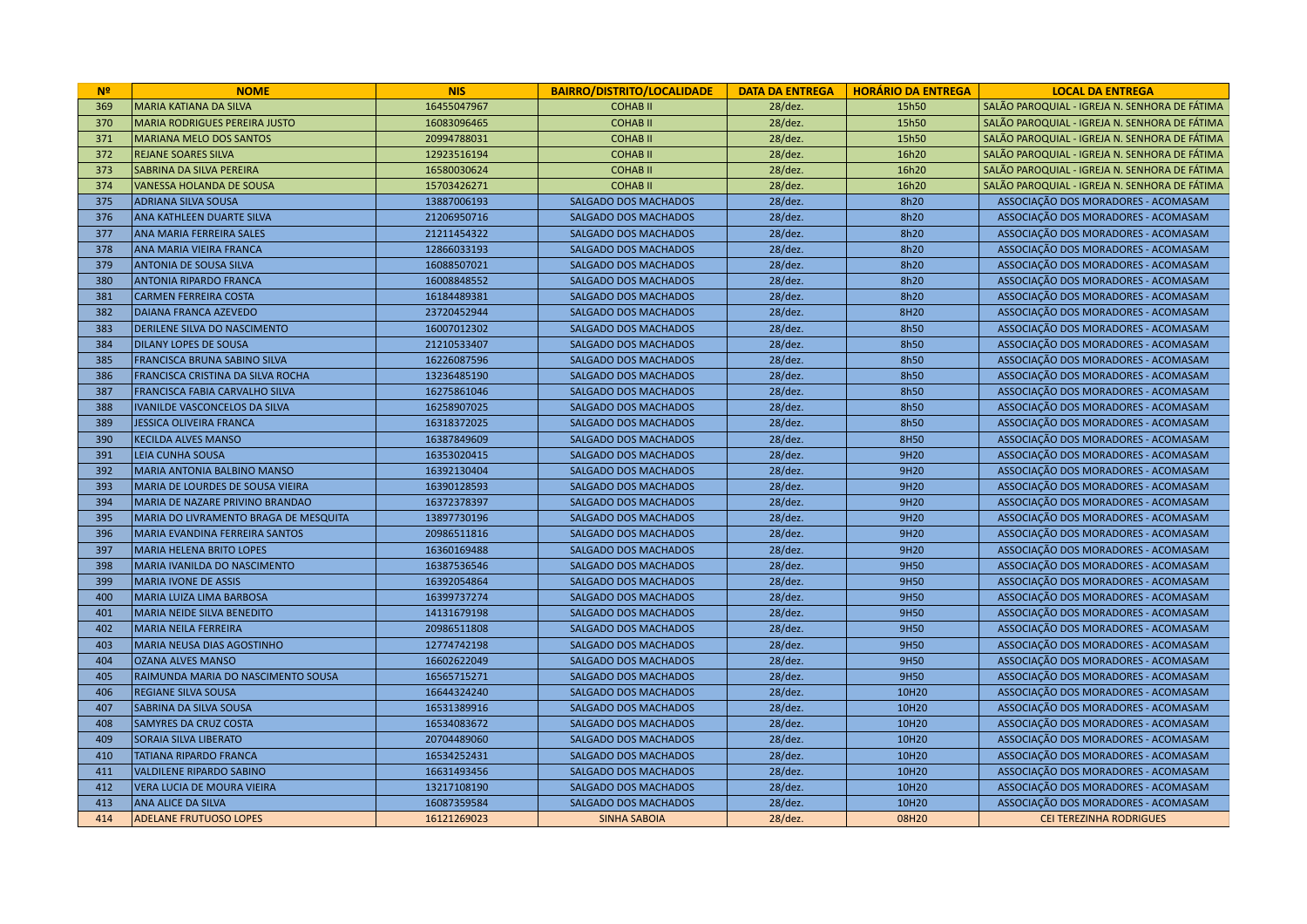| N <sup>2</sup> | <b>NOME</b>                           | <b>NIS</b>  | <b>BAIRRO/DISTRITO/LOCALIDADE</b> | <b>DATA DA ENTREGA</b> | <b>HORÁRIO DA ENTREGA</b> | <b>LOCAL DA ENTREGA</b>                       |
|----------------|---------------------------------------|-------------|-----------------------------------|------------------------|---------------------------|-----------------------------------------------|
| 369            | MARIA KATIANA DA SILVA                | 16455047967 | <b>COHABII</b>                    | $28$ /dez.             | 15h50                     | SALÃO PAROQUIAL - IGREJA N. SENHORA DE FÁTIMA |
| 370            | <b>MARIA RODRIGUES PEREIRA JUSTO</b>  | 16083096465 | <b>COHABII</b>                    | $28$ /dez.             | 15h50                     | SALÃO PAROQUIAL - IGREJA N. SENHORA DE FÁTIMA |
| 371            | <b>MARIANA MELO DOS SANTOS</b>        | 20994788031 | <b>COHABII</b>                    | $28$ /dez.             | 15h50                     | SALÃO PAROQUIAL - IGREJA N. SENHORA DE FÁTIMA |
| 372            | <b>REJANE SOARES SILVA</b>            | 12923516194 | <b>COHABII</b>                    | $28$ /dez.             | 16h20                     | SALÃO PAROQUIAL - IGREJA N. SENHORA DE FÁTIMA |
| 373            | <b>SABRINA DA SILVA PEREIRA</b>       | 16580030624 | <b>COHABII</b>                    | 28/dez.                | 16h20                     | SALÃO PAROQUIAL - IGREJA N. SENHORA DE FÁTIMA |
| 374            | VANESSA HOLANDA DE SOUSA              | 15703426271 | <b>COHABII</b>                    | $28$ /dez.             | 16h20                     | SALÃO PAROQUIAL - IGREJA N. SENHORA DE FÁTIMA |
| 375            | <b>ADRIANA SILVA SOUSA</b>            | 13887006193 | <b>SALGADO DOS MACHADOS</b>       | 28/dez.                | 8h20                      | ASSOCIAÇÃO DOS MORADORES - ACOMASAM           |
| 376            | <b>ANA KATHLEEN DUARTE SILVA</b>      | 21206950716 | <b>SALGADO DOS MACHADOS</b>       | $28$ /dez.             | 8h20                      | ASSOCIAÇÃO DOS MORADORES - ACOMASAM           |
| 377            | ANA MARIA FERREIRA SALES              | 21211454322 | SALGADO DOS MACHADOS              | $28$ /dez.             | 8h20                      | ASSOCIAÇÃO DOS MORADORES - ACOMASAM           |
| 378            | ANA MARIA VIEIRA FRANCA               | 12866033193 | <b>SALGADO DOS MACHADOS</b>       | 28/dez.                | 8h20                      | ASSOCIAÇÃO DOS MORADORES - ACOMASAM           |
| 379            | <b>ANTONIA DE SOUSA SILVA</b>         | 16088507021 | <b>SALGADO DOS MACHADOS</b>       | 28/dez.                | 8h20                      | ASSOCIAÇÃO DOS MORADORES - ACOMASAM           |
| 380            | <b>ANTONIA RIPARDO FRANCA</b>         | 16008848552 | <b>SALGADO DOS MACHADOS</b>       | 28/dez.                | 8h20                      | ASSOCIAÇÃO DOS MORADORES - ACOMASAM           |
| 381            | <b>CARMEN FERREIRA COSTA</b>          | 16184489381 | <b>SALGADO DOS MACHADOS</b>       | $28$ /dez.             | 8h20                      | ASSOCIAÇÃO DOS MORADORES - ACOMASAM           |
| 382            | <b>DAIANA FRANCA AZEVEDO</b>          | 23720452944 | SALGADO DOS MACHADOS              | $28$ /dez.             | 8H20                      | ASSOCIAÇÃO DOS MORADORES - ACOMASAM           |
| 383            | DERILENE SILVA DO NASCIMENTO          | 16007012302 | <b>SALGADO DOS MACHADOS</b>       | 28/dez.                | 8h50                      | ASSOCIAÇÃO DOS MORADORES - ACOMASAM           |
| 384            | <b>DILANY LOPES DE SOUSA</b>          | 21210533407 | <b>SALGADO DOS MACHADOS</b>       | 28/dez.                | 8h50                      | ASSOCIAÇÃO DOS MORADORES - ACOMASAM           |
| 385            | <b>FRANCISCA BRUNA SABINO SILVA</b>   | 16226087596 | <b>SALGADO DOS MACHADOS</b>       | 28/dez.                | 8h50                      | ASSOCIAÇÃO DOS MORADORES - ACOMASAM           |
| 386            | FRANCISCA CRISTINA DA SILVA ROCHA     | 13236485190 | <b>SALGADO DOS MACHADOS</b>       | $28$ /dez.             | 8h50                      | ASSOCIAÇÃO DOS MORADORES - ACOMASAM           |
| 387            | <b>FRANCISCA FABIA CARVALHO SILVA</b> | 16275861046 | <b>SALGADO DOS MACHADOS</b>       | 28/dez.                | 8h50                      | ASSOCIAÇÃO DOS MORADORES - ACOMASAM           |
| 388            | IVANILDE VASCONCELOS DA SILVA         | 16258907025 | SALGADO DOS MACHADOS              | $28$ /dez.             | 8h50                      | ASSOCIAÇÃO DOS MORADORES - ACOMASAM           |
| 389            | JESSICA OLIVEIRA FRANCA               | 16318372025 | <b>SALGADO DOS MACHADOS</b>       | 28/dez.                | 8h50                      | ASSOCIAÇÃO DOS MORADORES - ACOMASAM           |
| 390            | <b>KECILDA ALVES MANSO</b>            | 16387849609 | <b>SALGADO DOS MACHADOS</b>       | 28/dez.                | 8H50                      | ASSOCIAÇÃO DOS MORADORES - ACOMASAM           |
| 391            | <b>LEIA CUNHA SOUSA</b>               | 16353020415 | <b>SALGADO DOS MACHADOS</b>       | $28$ /dez.             | 9H <sub>20</sub>          | ASSOCIAÇÃO DOS MORADORES - ACOMASAM           |
| 392            | MARIA ANTONIA BALBINO MANSO           | 16392130404 | <b>SALGADO DOS MACHADOS</b>       | 28/dez.                | 9H20                      | ASSOCIAÇÃO DOS MORADORES - ACOMASAM           |
| 393            | MARIA DE LOURDES DE SOUSA VIEIRA      | 16390128593 | <b>SALGADO DOS MACHADOS</b>       | $28$ /dez.             | 9H20                      | ASSOCIAÇÃO DOS MORADORES - ACOMASAM           |
| 394            | MARIA DE NAZARE PRIVINO BRANDAO       | 16372378397 | <b>SALGADO DOS MACHADOS</b>       | 28/dez.                | 9H20                      | ASSOCIAÇÃO DOS MORADORES - ACOMASAM           |
| 395            | MARIA DO LIVRAMENTO BRAGA DE MESQUITA | 13897730196 | <b>SALGADO DOS MACHADOS</b>       | 28/dez.                | 9H20                      | ASSOCIAÇÃO DOS MORADORES - ACOMASAM           |
| 396            | MARIA EVANDINA FERREIRA SANTOS        | 20986511816 | SALGADO DOS MACHADOS              | $28$ /dez.             | 9H20                      | ASSOCIAÇÃO DOS MORADORES - ACOMASAM           |
| 397            | MARIA HELENA BRITO LOPES              | 16360169488 | <b>SALGADO DOS MACHADOS</b>       | 28/dez.                | 9H20                      | ASSOCIAÇÃO DOS MORADORES - ACOMASAM           |
| 398            | MARIA IVANILDA DO NASCIMENTO          | 16387536546 | <b>SALGADO DOS MACHADOS</b>       | $28$ /dez.             | 9H50                      | ASSOCIAÇÃO DOS MORADORES - ACOMASAM           |
| 399            | <b>MARIA IVONE DE ASSIS</b>           | 16392054864 | SALGADO DOS MACHADOS              | $28$ /dez.             | 9H50                      | ASSOCIAÇÃO DOS MORADORES - ACOMASAM           |
| 400            | MARIA LUIZA LIMA BARBOSA              | 16399737274 | <b>SALGADO DOS MACHADOS</b>       | 28/dez.                | 9H50                      | ASSOCIAÇÃO DOS MORADORES - ACOMASAM           |
| 401            | MARIA NEIDE SILVA BENEDITO            | 14131679198 | <b>SALGADO DOS MACHADOS</b>       | $28$ /dez.             | 9H50                      | ASSOCIAÇÃO DOS MORADORES - ACOMASAM           |
| 402            | MARIA NEILA FERREIRA                  | 20986511808 | SALGADO DOS MACHADOS              | $28$ /dez.             | 9H50                      | ASSOCIAÇÃO DOS MORADORES - ACOMASAM           |
| 403            | MARIA NEUSA DIAS AGOSTINHO            | 12774742198 | <b>SALGADO DOS MACHADOS</b>       | 28/dez.                | 9H50                      | ASSOCIAÇÃO DOS MORADORES - ACOMASAM           |
| 404            | <b>OZANA ALVES MANSO</b>              | 16602622049 | <b>SALGADO DOS MACHADOS</b>       | $28$ /dez.             | 9H50                      | ASSOCIAÇÃO DOS MORADORES - ACOMASAM           |
| 405            | RAIMUNDA MARIA DO NASCIMENTO SOUSA    | 16565715271 | <b>SALGADO DOS MACHADOS</b>       | 28/dez.                | 9H50                      | ASSOCIAÇÃO DOS MORADORES - ACOMASAM           |
| 406            | <b>REGIANE SILVA SOUSA</b>            | 16644324240 | <b>SALGADO DOS MACHADOS</b>       | $28$ /dez.             | 10H20                     | ASSOCIAÇÃO DOS MORADORES - ACOMASAM           |
| 407            | <b>SABRINA DA SILVA SOUSA</b>         | 16531389916 | <b>SALGADO DOS MACHADOS</b>       | $28$ /dez.             | 10H20                     | ASSOCIAÇÃO DOS MORADORES - ACOMASAM           |
| 408            | <b>SAMYRES DA CRUZ COSTA</b>          | 16534083672 | SALGADO DOS MACHADOS              | 28/dez.                | 10H20                     | ASSOCIAÇÃO DOS MORADORES - ACOMASAM           |
| 409            | <b>SORAIA SILVA LIBERATO</b>          | 20704489060 | <b>SALGADO DOS MACHADOS</b>       | $28$ /dez.             | 10H20                     | ASSOCIAÇÃO DOS MORADORES - ACOMASAM           |
| 410            | TATIANA RIPARDO FRANCA                | 16534252431 | <b>SALGADO DOS MACHADOS</b>       | 28/dez.                | 10H20                     | ASSOCIAÇÃO DOS MORADORES - ACOMASAM           |
| 411            | <b>VALDILENE RIPARDO SABINO</b>       | 16631493456 | <b>SALGADO DOS MACHADOS</b>       | $28$ /dez.             | 10H20                     | ASSOCIAÇÃO DOS MORADORES - ACOMASAM           |
| 412            | VERA LUCIA DE MOURA VIEIRA            | 13217108190 | <b>SALGADO DOS MACHADOS</b>       | $28$ /dez.             | 10H20                     | ASSOCIAÇÃO DOS MORADORES - ACOMASAM           |
| 413            | <b>ANA ALICE DA SILVA</b>             | 16087359584 | SALGADO DOS MACHADOS              | $28$ /dez.             | 10H20                     | ASSOCIAÇÃO DOS MORADORES - ACOMASAM           |
| 414            | <b>ADELANE FRUTUOSO LOPES</b>         | 16121269023 | <b>SINHA SABOIA</b>               | $28$ /dez.             | 08H20                     | <b>CEI TEREZINHA RODRIGUES</b>                |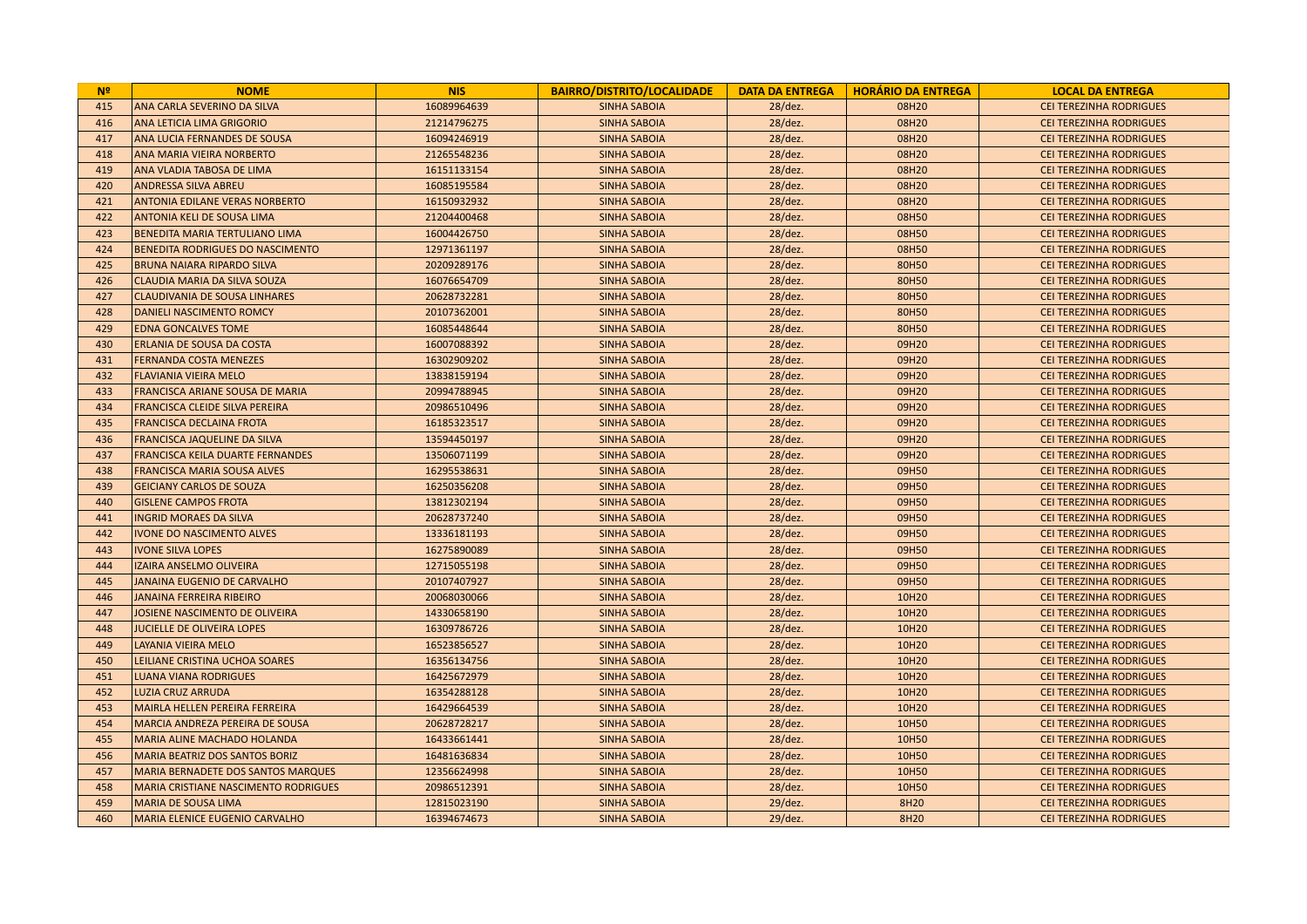| N <sup>2</sup> | <b>NOME</b>                                 | <b>NIS</b>  | <b>BAIRRO/DISTRITO/LOCALIDADE</b> | <b>DATA DA ENTREGA</b> | <b>HORÁRIO DA ENTREGA</b> | <b>LOCAL DA ENTREGA</b>        |
|----------------|---------------------------------------------|-------------|-----------------------------------|------------------------|---------------------------|--------------------------------|
| 415            | ANA CARLA SEVERINO DA SILVA                 | 16089964639 | <b>SINHA SABOIA</b>               | $28$ /dez.             | 08H20                     | <b>CEI TEREZINHA RODRIGUES</b> |
| 416            | <b>ANA LETICIA LIMA GRIGORIO</b>            | 21214796275 | <b>SINHA SABOIA</b>               | 28/dez.                | 08H20                     | <b>CEI TEREZINHA RODRIGUES</b> |
| 417            | ANA LUCIA FERNANDES DE SOUSA                | 16094246919 | <b>SINHA SABOIA</b>               | 28/dez.                | 08H20                     | <b>CEI TEREZINHA RODRIGUES</b> |
| 418            | <b>ANA MARIA VIEIRA NORBERTO</b>            | 21265548236 | <b>SINHA SABOIA</b>               | 28/dez.                | 08H20                     | <b>CEI TEREZINHA RODRIGUES</b> |
| 419            | <b>ANA VLADIA TABOSA DE LIMA</b>            | 16151133154 | <b>SINHA SABOIA</b>               | 28/dez.                | 08H20                     | <b>CEI TEREZINHA RODRIGUES</b> |
| 420            | <b>ANDRESSA SILVA ABREU</b>                 | 16085195584 | <b>SINHA SABOIA</b>               | 28/dez.                | 08H20                     | <b>CEI TEREZINHA RODRIGUES</b> |
| 421            | <b>ANTONIA EDILANE VERAS NORBERTO</b>       | 16150932932 | <b>SINHA SABOIA</b>               | 28/dez.                | 08H20                     | <b>CEI TEREZINHA RODRIGUES</b> |
| 422            | <b>ANTONIA KELI DE SOUSA LIMA</b>           | 21204400468 | <b>SINHA SABOIA</b>               | 28/dez.                | 08H50                     | <b>CEI TEREZINHA RODRIGUES</b> |
| 423            | <b>BENEDITA MARIA TERTULIANO LIMA</b>       | 16004426750 | <b>SINHA SABOIA</b>               | 28/dez.                | 08H50                     | <b>CEI TEREZINHA RODRIGUES</b> |
| 424            | BENEDITA RODRIGUES DO NASCIMENTO            | 12971361197 | <b>SINHA SABOIA</b>               | 28/dez.                | 08H50                     | <b>CEI TEREZINHA RODRIGUES</b> |
| 425            | BRUNA NAJARA RIPARDO SILVA                  | 20209289176 | <b>SINHA SABOIA</b>               | 28/dez.                | 80H50                     | <b>CEI TEREZINHA RODRIGUES</b> |
| 426            | <b>CLAUDIA MARIA DA SILVA SOUZA</b>         | 16076654709 | <b>SINHA SABOIA</b>               | 28/dez.                | 80H50                     | <b>CEI TEREZINHA RODRIGUES</b> |
| 427            | <b>CLAUDIVANIA DE SOUSA LINHARES</b>        | 20628732281 | <b>SINHA SABOIA</b>               | 28/dez.                | 80H50                     | <b>CEI TEREZINHA RODRIGUES</b> |
| 428            | DANIELI NASCIMENTO ROMCY                    | 20107362001 | <b>SINHA SABOIA</b>               | 28/dez.                | 80H50                     | <b>CEI TEREZINHA RODRIGUES</b> |
| 429            | <b>EDNA GONCALVES TOME</b>                  | 16085448644 | <b>SINHA SABOIA</b>               | 28/dez.                | 80H50                     | <b>CEI TEREZINHA RODRIGUES</b> |
| 430            | <b>ERLANIA DE SOUSA DA COSTA</b>            | 16007088392 | <b>SINHA SABOIA</b>               | 28/dez.                | 09H20                     | <b>CEI TEREZINHA RODRIGUES</b> |
| 431            | <b>FERNANDA COSTA MENEZES</b>               | 16302909202 | <b>SINHA SABOIA</b>               | 28/dez.                | 09H20                     | <b>CEI TEREZINHA RODRIGUES</b> |
| 432            | <b>FLAVIANIA VIEIRA MELO</b>                | 13838159194 | <b>SINHA SABOIA</b>               | 28/dez.                | 09H20                     | <b>CEI TEREZINHA RODRIGUES</b> |
| 433            | <b>FRANCISCA ARIANE SOUSA DE MARIA</b>      | 20994788945 | <b>SINHA SABOIA</b>               | 28/dez.                | 09H20                     | <b>CEI TEREZINHA RODRIGUES</b> |
| 434            | <b>FRANCISCA CLEIDE SILVA PEREIRA</b>       | 20986510496 | <b>SINHA SABOIA</b>               | 28/dez.                | 09H20                     | <b>CEI TEREZINHA RODRIGUES</b> |
| 435            | <b>FRANCISCA DECLAINA FROTA</b>             | 16185323517 | <b>SINHA SABOIA</b>               | 28/dez.                | 09H20                     | <b>CEI TEREZINHA RODRIGUES</b> |
| 436            | <b>FRANCISCA JAQUELINE DA SILVA</b>         | 13594450197 | <b>SINHA SABOIA</b>               | 28/dez.                | 09H20                     | <b>CEI TEREZINHA RODRIGUES</b> |
| 437            | <b>FRANCISCA KEILA DUARTE FERNANDES</b>     | 13506071199 | <b>SINHA SABOIA</b>               | 28/dez.                | 09H20                     | <b>CEI TEREZINHA RODRIGUES</b> |
| 438            | <b>FRANCISCA MARIA SOUSA ALVES</b>          | 16295538631 | <b>SINHA SABOIA</b>               | 28/dez.                | 09H50                     | <b>CEI TEREZINHA RODRIGUES</b> |
| 439            | <b>GEICIANY CARLOS DE SOUZA</b>             | 16250356208 | <b>SINHA SABOIA</b>               | 28/dez.                | 09H50                     | <b>CEI TEREZINHA RODRIGUES</b> |
| 440            | <b>GISLENE CAMPOS FROTA</b>                 | 13812302194 | <b>SINHA SABOIA</b>               | 28/dez.                | 09H50                     | <b>CEI TEREZINHA RODRIGUES</b> |
| 441            | <b>INGRID MORAES DA SILVA</b>               | 20628737240 | <b>SINHA SABOIA</b>               | 28/dez.                | 09H50                     | <b>CEI TEREZINHA RODRIGUES</b> |
| 442            | <b>IVONE DO NASCIMENTO ALVES</b>            | 13336181193 | <b>SINHA SABOIA</b>               | 28/dez.                | 09H50                     | <b>CEI TEREZINHA RODRIGUES</b> |
| 443            | <b>IVONE SILVA LOPES</b>                    | 16275890089 | <b>SINHA SABOIA</b>               | 28/dez.                | 09H50                     | <b>CEI TEREZINHA RODRIGUES</b> |
| 444            | IZAIRA ANSELMO OLIVEIRA                     | 12715055198 | <b>SINHA SABOIA</b>               | 28/dez.                | 09H50                     | <b>CEI TEREZINHA RODRIGUES</b> |
| 445            | JANAINA EUGENIO DE CARVALHO                 | 20107407927 | <b>SINHA SABOIA</b>               | 28/dez.                | 09H50                     | <b>CEI TEREZINHA RODRIGUES</b> |
| 446            | <b>JANAINA FERREIRA RIBEIRO</b>             | 20068030066 | <b>SINHA SABOIA</b>               | 28/dez.                | 10H20                     | <b>CEI TEREZINHA RODRIGUES</b> |
| 447            | JOSIENE NASCIMENTO DE OLIVEIRA              | 14330658190 | <b>SINHA SABOIA</b>               | 28/dez.                | 10H20                     | <b>CEI TEREZINHA RODRIGUES</b> |
| 448            | <b>JUCIELLE DE OLIVEIRA LOPES</b>           | 16309786726 | <b>SINHA SABOIA</b>               | $28$ /dez.             | 10H20                     | <b>CEI TEREZINHA RODRIGUES</b> |
| 449            | LAYANIA VIEIRA MELO                         | 16523856527 | <b>SINHA SABOIA</b>               | 28/dez.                | 10H20                     | <b>CEI TEREZINHA RODRIGUES</b> |
| 450            | LEILIANE CRISTINA UCHOA SOARES              | 16356134756 | <b>SINHA SABOIA</b>               | 28/dez.                | 10H20                     | <b>CEI TEREZINHA RODRIGUES</b> |
| 451            | <b>LUANA VIANA RODRIGUES</b>                | 16425672979 | <b>SINHA SABOIA</b>               | 28/dez.                | 10H20                     | <b>CEI TEREZINHA RODRIGUES</b> |
| 452            | <b>LUZIA CRUZ ARRUDA</b>                    | 16354288128 | <b>SINHA SABOIA</b>               | 28/dez.                | 10H20                     | <b>CEI TEREZINHA RODRIGUES</b> |
| 453            | MAIRLA HELLEN PEREIRA FERREIRA              | 16429664539 | <b>SINHA SABOIA</b>               | 28/dez.                | 10H20                     | <b>CEI TEREZINHA RODRIGUES</b> |
| 454            | MARCIA ANDREZA PEREIRA DE SOUSA             | 20628728217 | <b>SINHA SABOIA</b>               | 28/dez.                | 10H50                     | <b>CEI TEREZINHA RODRIGUES</b> |
| 455            | <b>MARIA ALINE MACHADO HOLANDA</b>          | 16433661441 | <b>SINHA SABOIA</b>               | 28/dez.                | 10H50                     | <b>CEI TEREZINHA RODRIGUES</b> |
| 456            | <b>MARIA BEATRIZ DOS SANTOS BORIZ</b>       | 16481636834 | <b>SINHA SABOIA</b>               | 28/dez.                | 10H50                     | <b>CEI TEREZINHA RODRIGUES</b> |
| 457            | <b>MARIA BERNADETE DOS SANTOS MARQUES</b>   | 12356624998 | <b>SINHA SABOIA</b>               | 28/dez.                | 10H50                     | <b>CEI TEREZINHA RODRIGUES</b> |
| 458            | <b>MARIA CRISTIANE NASCIMENTO RODRIGUES</b> | 20986512391 | <b>SINHA SABOIA</b>               | 28/dez.                | 10H50                     | <b>CEI TEREZINHA RODRIGUES</b> |
| 459            | <b>MARIA DE SOUSA LIMA</b>                  | 12815023190 | <b>SINHA SABOIA</b>               | 29/dez.                | 8H20                      | <b>CEI TEREZINHA RODRIGUES</b> |
| 460            | <b>MARIA ELENICE EUGENIO CARVALHO</b>       | 16394674673 | <b>SINHA SABOIA</b>               | $29$ /dez.             | 8H20                      | <b>CEI TEREZINHA RODRIGUES</b> |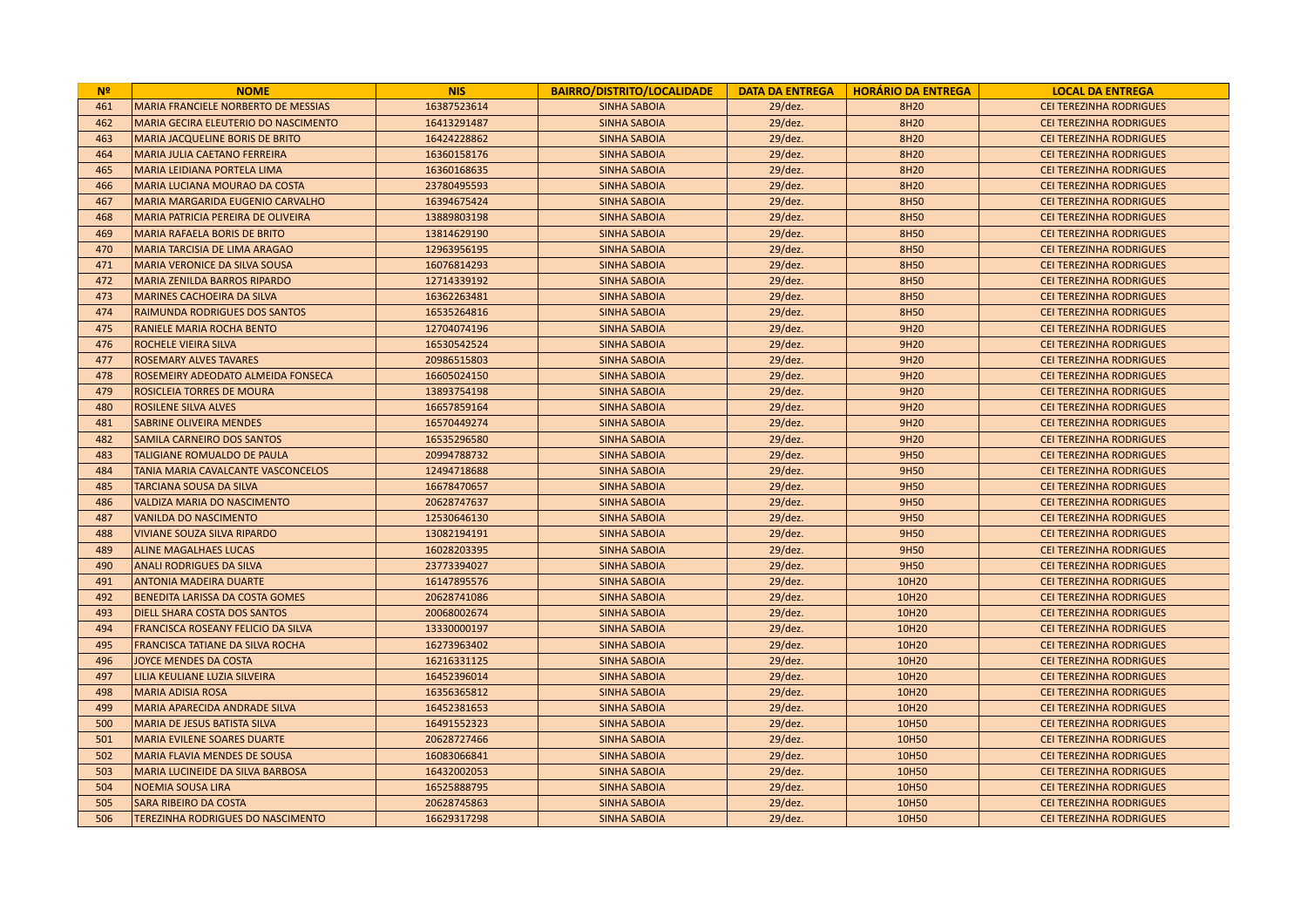| N <sup>2</sup> | <b>NOME</b>                                | <b>NIS</b>  | <b>BAIRRO/DISTRITO/LOCALIDADE</b> |            | DATA DA ENTREGA   HORÁRIO DA ENTREGA | <b>LOCAL DA ENTREGA</b>        |
|----------------|--------------------------------------------|-------------|-----------------------------------|------------|--------------------------------------|--------------------------------|
| 461            | <b>MARIA FRANCIELE NORBERTO DE MESSIAS</b> | 16387523614 | <b>SINHA SABOIA</b>               | $29$ /dez. | 8H20                                 | <b>CEI TEREZINHA RODRIGUES</b> |
| 462            | MARIA GECIRA ELEUTERIO DO NASCIMENTO       | 16413291487 | <b>SINHA SABOIA</b>               | 29/dez.    | 8H20                                 | <b>CEI TEREZINHA RODRIGUES</b> |
| 463            | <b>MARIA JACQUELINE BORIS DE BRITO</b>     | 16424228862 | <b>SINHA SABOIA</b>               | 29/dez.    | 8H20                                 | <b>CEI TEREZINHA RODRIGUES</b> |
| 464            | MARIA JULIA CAETANO FERREIRA               | 16360158176 | <b>SINHA SABOIA</b>               | 29/dez.    | 8H20                                 | <b>CEI TEREZINHA RODRIGUES</b> |
| 465            | MARIA LEIDIANA PORTELA LIMA                | 16360168635 | <b>SINHA SABOIA</b>               | 29/dez.    | 8H20                                 | <b>CEI TEREZINHA RODRIGUES</b> |
| 466            | MARIA LUCIANA MOURAO DA COSTA              | 23780495593 | <b>SINHA SABOIA</b>               | 29/dez.    | 8H20                                 | <b>CEI TEREZINHA RODRIGUES</b> |
| 467            | MARIA MARGARIDA EUGENIO CARVALHO           | 16394675424 | <b>SINHA SABOIA</b>               | 29/dez.    | 8H50                                 | <b>CEI TEREZINHA RODRIGUES</b> |
| 468            | MARIA PATRICIA PEREIRA DE OLIVEIRA         | 13889803198 | <b>SINHA SABOIA</b>               | 29/dez.    | 8H50                                 | CEI TEREZINHA RODRIGUES        |
| 469            | <b>MARIA RAFAELA BORIS DE BRITO</b>        | 13814629190 | <b>SINHA SABOIA</b>               | 29/dez.    | 8H50                                 | <b>CEI TEREZINHA RODRIGUES</b> |
| 470            | <b>MARIA TARCISIA DE LIMA ARAGAO</b>       | 12963956195 | <b>SINHA SABOIA</b>               | 29/dez.    | 8H50                                 | <b>CEI TEREZINHA RODRIGUES</b> |
| 471            | <b>MARIA VERONICE DA SILVA SOUSA</b>       | 16076814293 | <b>SINHA SABOIA</b>               | $29$ /dez. | 8H50                                 | CEI TEREZINHA RODRIGUES        |
| 472            | <b>MARIA ZENILDA BARROS RIPARDO</b>        | 12714339192 | <b>SINHA SABOIA</b>               | 29/dez.    | 8H50                                 | <b>CEI TEREZINHA RODRIGUES</b> |
| 473            | <b>MARINES CACHOEIRA DA SILVA</b>          | 16362263481 | <b>SINHA SABOIA</b>               | 29/dez.    | 8H50                                 | <b>CEI TEREZINHA RODRIGUES</b> |
| 474            | RAIMUNDA RODRIGUES DOS SANTOS              | 16535264816 | <b>SINHA SABOIA</b>               | 29/dez.    | 8H50                                 | CEI TEREZINHA RODRIGUES        |
| 475            | RANIELE MARIA ROCHA BENTO                  | 12704074196 | <b>SINHA SABOIA</b>               | 29/dez.    | 9H20                                 | <b>CEI TEREZINHA RODRIGUES</b> |
| 476            | <b>ROCHELE VIEIRA SILVA</b>                | 16530542524 | <b>SINHA SABOIA</b>               | $29$ /dez. | 9H20                                 | <b>CEI TEREZINHA RODRIGUES</b> |
| 477            | <b>ROSEMARY ALVES TAVARES</b>              | 20986515803 | <b>SINHA SABOIA</b>               | 29/dez.    | 9H20                                 | <b>CEI TEREZINHA RODRIGUES</b> |
| 478            | ROSEMEIRY ADEODATO ALMEIDA FONSECA         | 16605024150 | <b>SINHA SABOIA</b>               | 29/dez.    | 9H20                                 | <b>CEI TEREZINHA RODRIGUES</b> |
| 479            | ROSICLEIA TORRES DE MOURA                  | 13893754198 | <b>SINHA SABOIA</b>               | 29/dez.    | 9H20                                 | <b>CEI TEREZINHA RODRIGUES</b> |
| 480            | <b>ROSILENE SILVA ALVES</b>                | 16657859164 | <b>SINHA SABOIA</b>               | 29/dez.    | 9H20                                 | <b>CEI TEREZINHA RODRIGUES</b> |
| 481            | <b>SABRINE OLIVEIRA MENDES</b>             | 16570449274 | <b>SINHA SABOIA</b>               | 29/dez.    | 9H20                                 | CEI TEREZINHA RODRIGUES        |
| 482            | <b>SAMILA CARNEIRO DOS SANTOS</b>          | 16535296580 | <b>SINHA SABOIA</b>               | 29/dez.    | 9H20                                 | CEI TEREZINHA RODRIGUES        |
| 483            | <b>TALIGIANE ROMUALDO DE PAULA</b>         | 20994788732 | <b>SINHA SABOIA</b>               | 29/dez.    | 9H50                                 | <b>CEI TEREZINHA RODRIGUES</b> |
| 484            | TANIA MARIA CAVALCANTE VASCONCELOS         | 12494718688 | <b>SINHA SABOIA</b>               | 29/dez.    | 9H50                                 | CEI TEREZINHA RODRIGUES        |
| 485            | <b>TARCIANA SOUSA DA SILVA</b>             | 16678470657 | <b>SINHA SABOIA</b>               | 29/dez.    | 9H50                                 | CEI TEREZINHA RODRIGUES        |
| 486            | <b>VALDIZA MARIA DO NASCIMENTO</b>         | 20628747637 | <b>SINHA SABOIA</b>               | 29/dez.    | 9H50                                 | <b>CEI TEREZINHA RODRIGUES</b> |
| 487            | <b>VANILDA DO NASCIMENTO</b>               | 12530646130 | <b>SINHA SABOIA</b>               | 29/dez.    | 9H50                                 | <b>CEI TEREZINHA RODRIGUES</b> |
| 488            | <b>VIVIANE SOUZA SILVA RIPARDO</b>         | 13082194191 | <b>SINHA SABOIA</b>               | 29/dez.    | 9H50                                 | <b>CEI TEREZINHA RODRIGUES</b> |
| 489            | <b>ALINE MAGALHAES LUCAS</b>               | 16028203395 | <b>SINHA SABOIA</b>               | 29/dez.    | 9H50                                 | <b>CEI TEREZINHA RODRIGUES</b> |
| 490            | <b>ANALI RODRIGUES DA SILVA</b>            | 23773394027 | <b>SINHA SABOIA</b>               | 29/dez.    | 9H50                                 | <b>CEI TEREZINHA RODRIGUES</b> |
| 491            | <b>ANTONIA MADEIRA DUARTE</b>              | 16147895576 | <b>SINHA SABOIA</b>               | $29$ /dez. | 10H20                                | <b>CEI TEREZINHA RODRIGUES</b> |
| 492            | <b>BENEDITA LARISSA DA COSTA GOMES</b>     | 20628741086 | <b>SINHA SABOIA</b>               | 29/dez.    | 10H20                                | <b>CEI TEREZINHA RODRIGUES</b> |
| 493            | <b>DIELL SHARA COSTA DOS SANTOS</b>        | 20068002674 | <b>SINHA SABOIA</b>               | 29/dez.    | 10H20                                | <b>CEI TEREZINHA RODRIGUES</b> |
| 494            | FRANCISCA ROSEANY FELICIO DA SILVA         | 13330000197 | <b>SINHA SABOIA</b>               | 29/dez.    | 10H20                                | <b>CEI TEREZINHA RODRIGUES</b> |
| 495            | <b>FRANCISCA TATIANE DA SILVA ROCHA</b>    | 16273963402 | <b>SINHA SABOIA</b>               | 29/dez.    | 10H20                                | CEI TEREZINHA RODRIGUES        |
| 496            | JOYCE MENDES DA COSTA                      | 16216331125 | <b>SINHA SABOIA</b>               | 29/dez.    | 10H20                                | <b>CEI TEREZINHA RODRIGUES</b> |
| 497            | LILIA KEULIANE LUZIA SILVEIRA              | 16452396014 | <b>SINHA SABOIA</b>               | 29/dez.    | 10H20                                | <b>CEI TEREZINHA RODRIGUES</b> |
| 498            | <b>MARIA ADISIA ROSA</b>                   | 16356365812 | <b>SINHA SABOIA</b>               | $29$ /dez. | 10H20                                | CEI TEREZINHA RODRIGUES        |
| 499            | MARIA APARECIDA ANDRADE SILVA              | 16452381653 | <b>SINHA SABOIA</b>               | 29/dez.    | 10H20                                | <b>CEI TEREZINHA RODRIGUES</b> |
| 500            | MARIA DE JESUS BATISTA SILVA               | 16491552323 | <b>SINHA SABOIA</b>               | 29/dez.    | 10H50                                | <b>CEI TEREZINHA RODRIGUES</b> |
| 501            | MARIA EVILENE SOARES DUARTE                | 20628727466 | <b>SINHA SABOIA</b>               | $29$ /dez. | 10H50                                | CEI TEREZINHA RODRIGUES        |
| 502            | MARIA FLAVIA MENDES DE SOUSA               | 16083066841 | <b>SINHA SABOIA</b>               | 29/dez.    | 10H50                                | <b>CEI TEREZINHA RODRIGUES</b> |
| 503            | <b>MARIA LUCINEIDE DA SILVA BARBOSA</b>    | 16432002053 | <b>SINHA SABOIA</b>               | 29/dez.    | 10H50                                | <b>CEI TEREZINHA RODRIGUES</b> |
| 504            | <b>NOEMIA SOUSA LIRA</b>                   | 16525888795 | <b>SINHA SABOIA</b>               | 29/dez.    | 10H50                                | <b>CEI TEREZINHA RODRIGUES</b> |
| 505            | <b>SARA RIBEIRO DA COSTA</b>               | 20628745863 | <b>SINHA SABOIA</b>               | 29/dez.    | 10H50                                | <b>CEI TEREZINHA RODRIGUES</b> |
| 506            | TEREZINHA RODRIGUES DO NASCIMENTO          | 16629317298 | <b>SINHA SABOIA</b>               | 29/dez.    | 10H50                                | <b>CEI TEREZINHA RODRIGUES</b> |